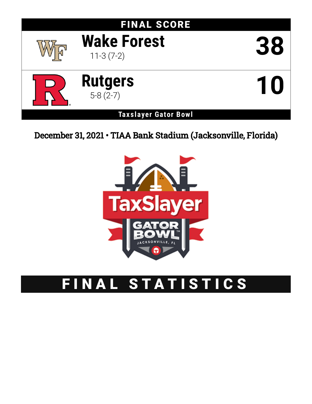

December 31, 2021 • TIAA Bank Stadium (Jacksonville, Florida)



# FINAL STATISTICS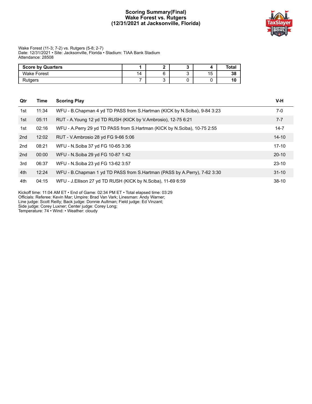## **Scoring Summary(Final) Wake Forest vs. Rutgers (12/31/2021 at Jacksonville, Florida)**



#### Wake Forest (11-3; 7-2) vs. Rutgers (5-8; 2-7) Date: 12/31/2021 • Site: Jacksonville, Florida • Stadium: TIAA Bank Stadium Attendance: 28508

| <b>Score by Quarters</b> |    |  |         | Tota.          |
|--------------------------|----|--|---------|----------------|
| <b>Wake Forest</b>       | 14 |  | 15<br>ີ | $\bullet$<br>ು |
| Rutgers                  |    |  |         |                |

| Qtr | Time  | <b>Scoring Play</b>                                                      | V-H       |
|-----|-------|--------------------------------------------------------------------------|-----------|
| 1st | 11:34 | WFU - B.Chapman 4 yd TD PASS from S.Hartman (KICK by N.Sciba), 9-84 3:23 | 7-0       |
| 1st | 05:11 | RUT - A. Young 12 yd TD RUSH (KICK by V. Ambrosio), 12-75 6:21           | $7 - 7$   |
| 1st | 02:16 | WFU - A.Perry 29 yd TD PASS from S.Hartman (KICK by N.Sciba), 10-75 2:55 | $14 - 7$  |
| 2nd | 12:02 | RUT - V.Ambrosio 28 yd FG 9-66 5:06                                      | $14 - 10$ |
| 2nd | 08:21 | WFU - N.Sciba 37 yd FG 10-65 3:36                                        | $17-10$   |
| 2nd | 00:00 | WFU - N.Sciba 29 yd FG 10-87 1:42                                        | $20 - 10$ |
| 3rd | 06:37 | WFU - N.Sciba 23 yd FG 13-62 3:57                                        | $23 - 10$ |
| 4th | 12:24 | WFU - B.Chapman 1 yd TD PASS from S.Hartman (PASS by A.Perry), 7-62 3:30 | $31 - 10$ |
| 4th | 04:15 | WFU - J.Ellison 27 yd TD RUSH (KICK by N.Sciba), 11-69 6:59              | $38-10$   |

Kickoff time: 11:04 AM ET • End of Game: 02:34 PM ET • Total elapsed time: 03:29

Officials: Referee: Kevin Mar; Umpire: Brad Van Vark; Linesman: Andy Warner;

Line judge: Scott Reilly; Back judge: Donnie Aultman; Field judge: Ed Vinzant;

Side judge: Corey Luxner; Center judge: Corey Long;

Temperature: 74 • Wind: • Weather: cloudy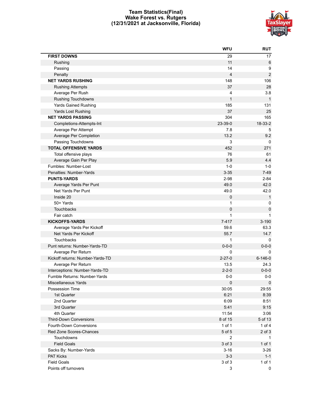## **Team Statistics(Final) Wake Forest vs. Rutgers (12/31/2021 at Jacksonville, Florida)**



|                                  | <b>WFU</b>     | <b>RUT</b>       |
|----------------------------------|----------------|------------------|
| <b>FIRST DOWNS</b>               | 29             | 17               |
| Rushing                          | 11             | $\,6\,$          |
| Passing                          | 14             | 9                |
| Penalty                          | 4              | $\boldsymbol{2}$ |
| <b>NET YARDS RUSHING</b>         | 148            | 106              |
| <b>Rushing Attempts</b>          | 37             | 28               |
| Average Per Rush                 | 4              | 3.8              |
| <b>Rushing Touchdowns</b>        | $\mathbf{1}$   | $\mathbf{1}$     |
| <b>Yards Gained Rushing</b>      | 185            | 131              |
| Yards Lost Rushing               | 37             | 25               |
| <b>NET YARDS PASSING</b>         | 304            | 165              |
| Completions-Attempts-Int         | 23-39-0        | 18-33-2          |
| Average Per Attempt              | 7.8            | 5                |
| Average Per Completion           | 13.2           | 9.2              |
| Passing Touchdowns               | 3              | 0                |
| <b>TOTAL OFFENSIVE YARDS</b>     | 452            | 271              |
| Total offensive plays            | 76             | 61               |
| Average Gain Per Play            | 5.9            | 4.4              |
| Fumbles: Number-Lost             | $1 - 0$        | $1-0$            |
| Penalties: Number-Yards          | $3 - 35$       | $7 - 49$         |
| <b>PUNTS-YARDS</b>               | $2 - 98$       | $2 - 84$         |
| Average Yards Per Punt           | 49.0           | 42.0             |
| Net Yards Per Punt               | 49.0           | 42.0             |
| Inside 20                        | 0              | $\mathbf{1}$     |
| 50+ Yards                        | 1              | 0                |
| <b>Touchbacks</b>                | 0              | $\pmb{0}$        |
| Fair catch                       | $\mathbf{1}$   | $\mathbf{1}$     |
| <b>KICKOFFS-YARDS</b>            | $7 - 417$      | $3 - 190$        |
| Average Yards Per Kickoff        | 59.6           | 63.3             |
| Net Yards Per Kickoff            | 55.7           | 14.7             |
| <b>Touchbacks</b>                | 1              | 0                |
| Punt returns: Number-Yards-TD    | $0 - 0 - 0$    | $0 - 0 - 0$      |
| Average Per Return               | 0              | 0                |
| Kickoff returns: Number-Yards-TD | $2 - 27 - 0$   | $6 - 146 - 0$    |
| Average Per Return               | 13.5           | 24.3             |
| Interceptions: Number-Yards-TD   | $2 - 2 - 0$    | $0 - 0 - 0$      |
| Fumble Returns: Number-Yards     | $0-0$          | $0-0$            |
| Miscellaneous Yards              | 0              | $\mathbf 0$      |
| Possession Time                  | 30:05          | 29:55            |
| 1st Quarter                      | 6:21           | 8:39             |
| 2nd Quarter                      | 6:09           | 8:51             |
| 3rd Quarter                      | 5:41           | 9:15             |
| 4th Quarter                      | 11:54          | 3:06             |
| <b>Third-Down Conversions</b>    | 8 of 15        | 5 of 13          |
| Fourth-Down Conversions          | 1 of 1         | 1 of $4$         |
| Red Zone Scores-Chances          | 5 of 5         | $2$ of $3$       |
| Touchdowns                       | $\overline{2}$ | $\mathbf 1$      |
| <b>Field Goals</b>               | 3 of 3         | $1$ of $1$       |
| Sacks By: Number-Yards           | $3 - 16$       | $3 - 26$         |
| <b>PAT Kicks</b>                 | $3 - 3$        | $1 - 1$          |
| <b>Field Goals</b>               | 3 of 3         | 1 of 1           |
| Points off turnovers             | 3              | 0                |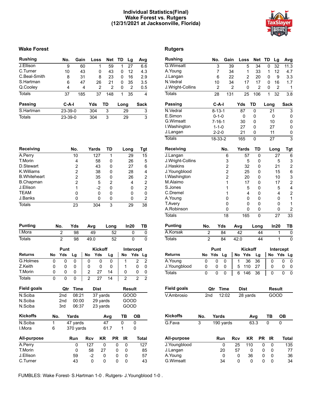## **Individual Statistics(Final) Wake Forest vs. Rutgers (12/31/2021 at Jacksonville, Florida)**



#### **Wake Forest**

| <b>Rushing</b> | No.           | Gain | Loss | Net | TD   | Lq | Avg  |
|----------------|---------------|------|------|-----|------|----|------|
| J.Ellison      | 9             | 60   | 1    | 59  | 1    | 27 | 6.6  |
| C.Turner       | 10            | 43   | 0    | 43  | 0    | 12 | 4.3  |
| C.Beal-Smith   | 8             | 31   | 8    | 23  | 0    | 16 | 2.9  |
| S.Hartman      | 6             | 47   | 26   | 21  | 0    | 35 | 3.5  |
| Q.Cooley       | 4             | 4    | 2    | 2   | 0    | 2  | 0.5  |
| <b>Totals</b>  | 37            | 185  | 37   | 148 | 1    | 35 | 4    |
| Passing        | $C-A-I$       |      | Yds  | TD  | Long |    | Sack |
| S.Hartman      | $23 - 39 - 0$ |      | 304  | 3   |      | 29 | 3    |
| <b>Totals</b>  | $23 - 39 - 0$ |      | 304  | 3   |      | 29 | 3    |

| Receiving            | No. | Yards | TD | Long | Tgt |
|----------------------|-----|-------|----|------|-----|
| A.Perry              | 10  | 127   |    | 29   | 15  |
| T.Morin              | 4   | 58    | 0  | 26   | 5   |
| D.Stewart            | 2   | 43    | Ω  | 27   | 6   |
| K. Williams          | 2   | 38    | 0  | 28   | 4   |
| <b>B.</b> Whiteheart | 2   | 35    | 0  | 26   | 2   |
| <b>B.Chapman</b>     | 2   | 5     | 2  | 4    | 2   |
| J.Ellison            |     | $-2$  | 0  | 0    | 2   |
| <b>TEAM</b>          | Ω   | 0     | Ω  | Ω    | 0   |
| J.Banks              | 0   | 0     | 0  |      | 2   |
| Totals               | 23  | 304   | 3  | 29   | 38  |

| <b>Punting</b> | No. | Yds | Avg  | Long | In20 | TВ |
|----------------|-----|-----|------|------|------|----|
| I.Mora         |     | 98  | 49   | 52   |      |    |
| Totals         |     | 98  | 49.0 | 52   |      |    |

|                 |          | Punt |           |                | <b>Kickoff</b> |      |    |                | Intercept      |                |
|-----------------|----------|------|-----------|----------------|----------------|------|----|----------------|----------------|----------------|
| <b>Returns</b>  | No       | Yds  | Lg        | No             | Yds            |      | Lg | No             | Yds            | Lg             |
| G.Holmes        | 0        | 0    | 0         | 0              | 0              |      | 0  | 1              | 2              | $\overline{2}$ |
| Z.Keith         | 0        | 0    | 0         | 0              | 0              |      | 0  | 1              | 0              | 0              |
| T.Morin         | 0        | 0    | 0         | 2              | 27             |      | 14 | 0              | 0              | 0              |
| Totals          | $\Omega$ | 0    | 0         | $\overline{2}$ | 27             |      | 14 | $\overline{2}$ | $\overline{2}$ | $\overline{2}$ |
| Field goals     |          | Qtr  | Time      |                | Dist           |      |    |                | <b>Result</b>  |                |
| N.Sciba         |          | 2nd  | 08:21     |                | 37 yards       |      |    |                | GOOD           |                |
| N.Sciba         |          | 2nd  | 00:00     |                | 29 vards       |      |    |                | GOOD           |                |
| N.Sciba         |          | 3rd  | 06:37     |                | 23 yards       |      |    |                | GOOD           |                |
| <b>Kickoffs</b> | No.      |      | Yards     |                |                | Avg  |    | ΤВ             | OВ             |                |
| N.Sciba         | 1        |      | 47 vards  |                |                | 47   |    | 0              | 0              |                |
| I.Mora          | 6        |      | 370 yards |                |                | 61.7 |    | 1              | 0              |                |
| All-purpose     |          |      | Run       | <b>Rcv</b>     |                | ΚR   | ΡR | ΙR             |                | Total          |
| A.Perry         |          |      | 0         | 127            |                | 0    | 0  | 0              |                | 127            |
| T.Morin         |          |      | 0         | 58             |                | 27   | 0  | 0              |                | 85             |
| J.Ellison       |          |      | 59        |                | $-2$           | 0    | 0  | 0              |                | 57             |
| C.Turner        |          |      | 43        |                | 0              | 0    | 0  | 0              |                | 43             |

| <b>Rutgers</b>     |                |              |                        |                                                                       |             |      |              |               |                |
|--------------------|----------------|--------------|------------------------|-----------------------------------------------------------------------|-------------|------|--------------|---------------|----------------|
| <b>Rushing</b>     |                | No.          | Gain                   |                                                                       | Loss        | Net  | TD           | Lg            | Avg            |
| G.Wimsatt          |                | 3            | 39                     |                                                                       | 5           | 34   | 0            | 32            | 11.3           |
| A. Young           |                | 7            | 34                     |                                                                       | 1           | 33   | 1            | 12            | 4.7            |
| J.Langan           |                | 6            | 22                     |                                                                       | 2           | 20   | 0            | 9             | 3.3            |
| N.Vedral           |                | 10           | 34                     |                                                                       | 17          | 17   | 0            | 16            | 1.7            |
| J.Wright-Collins   |                | 2            | 2                      |                                                                       | 0           | 2    | 0            | 2             | 1              |
| <b>Totals</b>      |                | 28           | 131                    |                                                                       | 25          | 106  | 1            | 32            | 3.8            |
| <b>Passing</b>     |                | $C-A-I$      |                        | Yds                                                                   |             | TD   | Long         |               | <b>Sack</b>    |
| N.Vedral           |                | $8 - 13 - 1$ |                        |                                                                       | 87          | 0    |              | 21            | 3              |
| E.Simon            |                | $0 - 1 - 0$  |                        |                                                                       | 0           | 0    |              | 0             | 0              |
| G.Wimsatt          |                | $7 - 16 - 1$ |                        |                                                                       | 30          | 0    |              | 10            | 0              |
| I. Washington      |                | $1 - 1 - 0$  |                        |                                                                       | 27          | 0    |              | 27            | 0              |
| J.Langan           |                | $2 - 2 - 0$  |                        | 21                                                                    |             | 0    |              | 11            | 0              |
| <b>Totals</b>      |                | 18-33-2      |                        | 165                                                                   |             | 0    |              | 27            | 3              |
| <b>Receiving</b>   |                |              | No.                    |                                                                       | Yards       | TD   |              | Long          | <b>Tgt</b>     |
| J.Langan           |                |              | 6                      |                                                                       | 57          | 0    |              | 27            | 6              |
| J.Wright-Collins   |                |              | 3                      |                                                                       | 5           | 0    |              | 5             | 3              |
| J.Haskins          |                |              | $\overline{2}$         |                                                                       | 32          | 0    |              | 21            | 2              |
| J.Youngblood       |                |              | $\overline{2}$         |                                                                       | 25          | 0    |              | 15            | 6              |
| I. Washington      |                |              | $\overline{2}$         |                                                                       | 20          | 0    |              | 10            | 3              |
| M.Alaimo           |                |              | 1                      |                                                                       | 17          | 0    |              | 17            | $\overline{c}$ |
| S.Jones            |                |              | 1                      |                                                                       | 5           | 0    |              | 5             | 4              |
| C.Dremel           |                |              | 1                      |                                                                       | 4           | 0    |              | 4             | $\overline{2}$ |
| A. Young           |                |              | 0                      |                                                                       | 0           | 0    |              | 0             | 1              |
| <b>T.Avery</b>     |                |              | 0                      |                                                                       | 0           | 0    |              | 0             | 1              |
| A.Robinson         |                |              | 0                      |                                                                       | 0           | 0    |              | 0             | 2              |
| <b>Totals</b>      |                |              | 18                     |                                                                       | 165         | 0    |              | 27            | 33             |
| <b>Punting</b>     | No.            |              | Yds                    | Avg                                                                   |             | Long |              | In20          | ΤВ             |
| A.Korsak           | 2              |              | 84                     | 42                                                                    |             | 44   |              | 1             | 0              |
| <b>Totals</b>      | $\overline{2}$ |              | 84                     | 42.0                                                                  |             | 44   |              | 1             | $\mathbf 0$    |
|                    |                | Punt         |                        |                                                                       | Kickoff     |      |              | Intercept     |                |
| Returns            | No             | Yds          | Lg                     | No                                                                    | Yds         | Lg   |              | No            | Yds<br>Lg      |
| A. Young           | 0              | 0            | 0                      | 1                                                                     | 36          | 36   |              | 0             | 0<br>0         |
| J.Youngblood       | 0              | 0            | 0                      | 5                                                                     | 110         | 27   |              | 0             | 0<br>0         |
| Totals             | 0              |              | $0\quad 0$             | $\begin{array}{ c c c c c } \hline \text{6} & \text{146} \end{array}$ |             | 36   | $\mathbf{I}$ | $\mathbf{0}$  | 0<br>0         |
|                    |                |              |                        |                                                                       |             |      |              |               |                |
| <b>Field goals</b> |                | Qtr          | <b>Time</b>            |                                                                       | <b>Dist</b> |      |              | <b>Result</b> |                |
| V.Ambrosio         | 2nd            |              | 12:02                  |                                                                       | 28 yards    |      |              | GOOD          |                |
| <b>Kickoffs</b>    | No.            | <b>Yards</b> |                        |                                                                       |             | Avg  | ΤВ           |               | ОB             |
|                    |                |              |                        |                                                                       |             |      |              |               |                |
| G.Fava             | 3              |              | $\overline{190}$ yards |                                                                       |             | 63.3 | 0            |               | 0              |
| <b>All-purpose</b> |                | Run          |                        | Rcv                                                                   | ΚR          | PR   |              | IR            | <b>Total</b>   |
| J.Youngblood       |                |              | 0                      | 25                                                                    | 110         |      | 0            | 0             | 135            |
| J.Langan           |                |              | 20                     | 57                                                                    |             | 0    | 0            | 0             | 77             |
| A. Young           |                |              | 0                      | 0                                                                     | 36          |      | 0            | 0             | 36             |
| G.Wimsatt          |                |              | 34                     | 0                                                                     |             | 0    | 0            | 0             | 34             |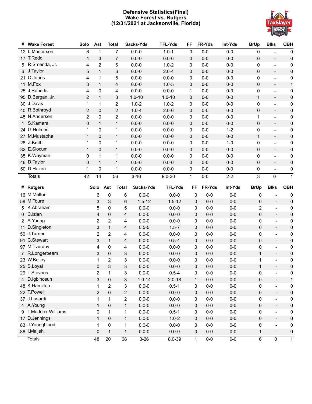## **Defensive Statistics(Final) Wake Forest vs. Rutgers (12/31/2021 at Jacksonville, Florida)**



| #  | <b>Wake Forest</b>            | Solo           | Ast            | <b>Total</b>   |                         | Sacks-Yds               | <b>TFL-Yds</b>          | FF           | FR-Yds                | Int-Yds      | <b>BrUp</b>    | <b>Blks</b>                                          | QBH            |
|----|-------------------------------|----------------|----------------|----------------|-------------------------|-------------------------|-------------------------|--------------|-----------------------|--------------|----------------|------------------------------------------------------|----------------|
|    | 12 L.Masterson                | 6              | $\mathbf{1}$   |                | 7                       | $0.0 - 0$               | $1.0 - 1$               | $\mathbf 0$  | $0-0$                 | $0-0$        | 0              | $\overline{\phantom{a}}$                             | 0              |
|    | 17 T.Redd                     | 4              | 3              |                | 7                       | $0.0 - 0$               | $0.0 - 0$               | 0            | $0-0$                 | $0-0$        | 0              | $\qquad \qquad -$                                    | $\pmb{0}$      |
|    | R.Smenda, Jr.                 | 4              | $\overline{2}$ |                | 6                       | $0.0 - 0$               | $1.0 - 2$               | 0            | $0-0$                 | $0-0$        | 0              | $\overline{\phantom{a}}$                             | $\pmb{0}$      |
| 6. | J. Taylor                     | 5              | $\mathbf{1}$   |                | 6                       | $0.0 - 0$               | $2.0 - 4$               | $\mathbf 0$  | $0-0$                 | $0-0$        | $\mathbf 0$    | $\overline{\phantom{a}}$                             | $\pmb{0}$      |
|    | 21 C.Jones                    | 4              | 1              |                | 5                       | $0.0 - 0$               | $0.0 - 0$               | 0            | $0-0$                 | $0-0$        | 0              | $\blacksquare$                                       | 0              |
|    | 11 M.Fox                      | 3              | $\mathbf{1}$   |                | 4                       | $0.0 - 0$               | $1.0 - 5$               | 0            | $0-0$                 | $0-0$        | $\mathbf 0$    | $\overline{\phantom{a}}$                             | $\mathbf{1}$   |
|    | 25 J.Roberts                  | 4              | 0              |                | 4                       | $0.0 - 0$               | $0.0 - 0$               | 1            | $0-0$                 | $0 - 0$      | 0              | $\qquad \qquad \blacksquare$                         | 0              |
|    | 95 D.Bergan, Jr.              | 2              | 1              |                | 3                       | $1.0 - 10$              | $1.0 - 10$              | 0            | $0-0$                 | $0-0$        | $\mathbf{1}$   | $\overline{a}$                                       | $\pmb{0}$      |
|    | 30 J.Davis                    | 1              | 1              |                | 2                       | $1.0 - 2$               | $1.0 - 2$               | 0            | $0-0$                 | $0-0$        | 0              | $\overline{\phantom{a}}$                             | 0              |
|    | 40 R.Bothroyd                 | $\overline{c}$ | 0              |                | $\overline{c}$          | $1.0 - 4$               | $2.0 - 6$               | 0            | $0-0$                 | $0-0$        | 0              | $\qquad \qquad -$                                    | $\pmb{0}$      |
|    | 45 N.Andersen                 | $\overline{2}$ | 0              |                | $\overline{\mathbf{c}}$ | $0.0 - 0$               | $0.0 - 0$               | 0            | $0-0$                 | $0-0$        | 1              | $\qquad \qquad \blacksquare$                         | 0              |
|    | S.Kamara                      | 0              | 1              |                | $\mathbf{1}$            | $0.0 - 0$               | $0.0 - 0$               | 0            | $0-0$                 | $0-0$        | 0              | $\overline{\phantom{a}}$                             | $\pmb{0}$      |
|    | 24 G.Holmes                   | 1              | 0              |                | 1                       | $0.0 - 0$               | $0.0 - 0$               | 0            | $0-0$                 | $1 - 2$      | 0              | $\blacksquare$                                       | 0              |
|    | 27 M.Mustapha                 | $\mathbf{1}$   | 0              |                | $\mathbf{1}$            | $0.0 - 0$               | $0.0 - 0$               | $\pmb{0}$    | $0-0$                 | $0-0$        | $\mathbf{1}$   | $\Box$                                               | $\pmb{0}$      |
|    | 28 Z.Keith                    | 1              | 0              |                | 1                       | $0.0 - 0$               | $0.0 - 0$               | 0            | $0-0$                 | $1 - 0$      | 0              | $\blacksquare$                                       | $\pmb{0}$      |
|    | 32 E.Slocum                   | $\mathbf{1}$   | 0              |                | $\mathbf{1}$            | $0.0 - 0$               | $0.0 - 0$               | 0            | $0-0$                 | $0 - 0$      | 0              | $\overline{a}$                                       | $\pmb{0}$      |
|    | 35 K.Wayman                   | 0              | 1              |                | 1                       | $0.0 - 0$               | $0.0 - 0$               | 0            | $0-0$                 | $0-0$        | 0              | $\overline{\phantom{a}}$                             | $\pmb{0}$      |
|    | 46 D.Taylor                   | 0              | $\mathbf{1}$   |                | $\mathbf{1}$            | $0.0 - 0$               | $0.0 - 0$               | $\mathbf 0$  | $0-0$                 | $0-0$        | $\mathbf{0}$   | $\qquad \qquad -$                                    | $\pmb{0}$      |
|    | 50 D.Hazen                    | 1              | 0              |                | 1                       | $0.0 - 0$               | $0.0 - 0$               | 0            | $0-0$                 | $0-0$        | 0              | $\overline{\phantom{a}}$                             | 0              |
|    | <b>Totals</b>                 | 42             | 14             |                | 56                      | $3 - 16$                | $9.0 - 30$              | $\mathbf{1}$ | $0-0$                 | $2 - 2$      | 3              | 0                                                    | $\mathbf{1}$   |
|    | # Rutgers                     |                | Solo           | Ast            | <b>Total</b>            | Sacks-Yds               | <b>TFL-Yds</b>          | FF           | FR-Yds                | Int-Yds      | <b>BrUp</b>    | <b>Blks</b>                                          | QBH            |
|    | 16 M.Melton                   |                | 6              | 0              | 6                       | $0.0 - 0$               | $0.0 - 0$               | 0            | $0-0$                 | $0-0$        | 0              |                                                      | 0              |
|    | 58 M.Toure                    |                | 3              | 3              | 6                       | $1.5 - 12$              | $1.5 - 12$              | 0            | $0-0$                 | $0-0$        | 0              | $\qquad \qquad -$                                    | $\pmb{0}$      |
|    | 5 K.Abraham                   |                | 5              | 0              | 5                       | $0.0 - 0$               | $0.0 - 0$               | 0            | $0-0$                 | $0-0$        | $\overline{c}$ | $\overline{\phantom{a}}$                             | $\pmb{0}$      |
|    | 0 C.Izien                     |                | $\overline{4}$ | 0              | 4                       | $0.0 - 0$               | $0.0 - 0$               | 0            | $0-0$                 | $0-0$        | 0              | $\overline{\phantom{0}}$                             | $\pmb{0}$      |
|    | 2 A.Young                     |                | $\overline{2}$ | 2              | 4                       | $0.0 - 0$               | $0.0 - 0$               | 0            | $0-0$                 | $0-0$        | 0              | $\overline{\phantom{a}}$                             | 0              |
|    | 11 D.Singleton                |                | 3              | $\mathbf{1}$   | 4                       | $0.5 - 5$               | $1.5 - 7$               | 0            | $0-0$                 | $0-0$        | $\mathbf 0$    |                                                      | $\pmb{0}$      |
|    | 50 J.Turner                   |                | $\overline{2}$ | 2              | 4                       | $0.0 - 0$               | $0.0 - 0$               | 0            | $0-0$                 | $0-0$        | 0              | $\overline{\phantom{a}}$<br>$\overline{\phantom{0}}$ | 0              |
|    | 91 C.Stewart                  |                | 3              | $\mathbf{1}$   | 4                       | $0.0 - 0$               | $0.5 - 4$               | 0            | $0-0$                 | $0-0$        | $\mathbf 0$    | $\overline{\phantom{a}}$                             | $\pmb{0}$      |
|    | 97 M.Tverdov                  |                | 4              | 0              | 4                       | $0.0 - 0$               | $0.0 - 0$               | 0            | $0-0$                 | $0-0$        | $\mathbf 0$    |                                                      | $\pmb{0}$      |
|    | 7 R.Longerbeam                |                | 3              | 0              | 3                       | $0.0 - 0$               | $0.0 - 0$               | 0            | $0-0$                 | $0-0$        | $\mathbf{1}$   | $\overline{\phantom{a}}$<br>$\overline{\phantom{0}}$ | $\pmb{0}$      |
|    | 23 W.Bailey                   |                | 1              | 2              | 3                       | $0.0 - 0$               | $0.0 - 0$               | 0            | $0-0$                 | $0-0$        | 1              | $\overline{\phantom{a}}$                             |                |
|    | 25 S.Loyal                    |                | $\mathbf 0$    | 3              | 3                       | $0.0 - 0$               | $0.0 - 0$               | 0            | $0-0$                 | $0-0$        | $\mathbf{1}$   |                                                      | 0<br>$\pmb{0}$ |
|    |                               |                |                |                |                         |                         |                         |              |                       |              |                |                                                      |                |
|    | 29 L.Stevens<br>4 D.Igbinosun |                | 2<br>3         | 1<br>$\pmb{0}$ | 3<br>3                  | $0.0 - 0$<br>$1.0 - 14$ | $0.5 - 4$<br>$2.0 - 18$ | 0<br>1       | 0-0<br>$0-0$          | 0-0<br>$0-0$ | 0<br>0         | $\overline{\phantom{a}}$<br>$\overline{\phantom{0}}$ | 0<br>1         |
|    | 48 K.Hamilton                 |                | 1              | $\overline{2}$ | 3                       | $0.0 - 0$               | $0.5 - 1$               | 0            | $0-0$                 | $0-0$        | 0              | $\overline{\phantom{0}}$                             |                |
|    | 22 T.Powell                   |                | $\overline{2}$ | $\pmb{0}$      | $\overline{2}$          | $0.0 - 0$               | $0.0 - 0$               |              | $0-0$                 | $0-0$        | $\pmb{0}$      |                                                      | 0              |
|    | 37 J.Lusardi                  |                | 1              | $\mathbf{1}$   | $\overline{2}$          | $0.0 - 0$               | $0.0 - 0$               | 0            | $0-0$                 | $0-0$        | $\pmb{0}$      | $\overline{\phantom{a}}$                             | $\pmb{0}$      |
|    | 4 A.Young                     |                | $\mathbf{1}$   |                | $\mathbf{1}$            | $0.0 - 0$               | $0.0 - 0$               | 0            | $0-0$                 | $0-0$        |                | $\overline{\phantom{0}}$                             | 0              |
|    | 9 T.Maddox-Williams           |                |                | $\pmb{0}$      |                         |                         |                         | 0            |                       |              | 0              | ÷,                                                   | $\pmb{0}$      |
|    | 17 D.Jennings                 |                | 0              | 1              | 1                       | $0.0 - 0$<br>$0.0 - 0$  | $0.5 - 1$               | 0            | $0-0$                 | $0-0$        | 0              | $\overline{\phantom{0}}$                             | 0              |
|    | 83 J.Youngblood               |                | 1              | 0              | 1                       |                         | $1.0 - 2$<br>$0.0 - 0$  | 0            | $0-0$                 | $0-0$        | 0              | $\overline{\phantom{0}}$                             | $\pmb{0}$      |
|    | 88 I.Maijeh                   |                | 1              | 0              | 1                       | $0.0 - 0$               |                         | 0            | $0-0$                 | $0-0$        | 0              | $\overline{\phantom{0}}$                             | 0              |
|    |                               |                | 0              | $\mathbf{1}$   | 1                       | $0.0 - 0$               | $0.0 - 0$               | $\pmb{0}$    | $0-0$                 | $0-0$        | 1              | $\overline{\phantom{a}}$                             | $\pmb{0}$      |
|    | <b>Totals</b>                 |                | 48             | 20             | 68                      | $3 - 26$                | $8.0 - 39$              |              | $\mathbf{1}$<br>$0-0$ | $0-0$        | 6              | $\pmb{0}$                                            | $\mathbf{1}$   |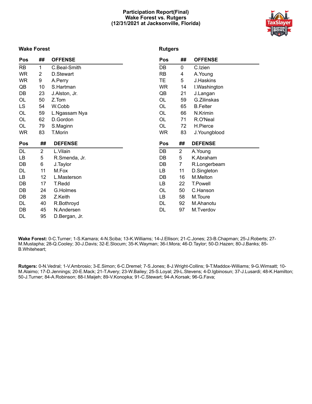## **Participation Report(Final) Wake Forest vs. Rutgers (12/31/2021 at Jacksonville, Florida)**



## **Wake Forest**

#### **Rutgers**

| Pos       | ##             | <b>OFFENSE</b> | Pos        | ##             | <b>OFFENSE</b>  |
|-----------|----------------|----------------|------------|----------------|-----------------|
| <b>RB</b> | $\mathbf{1}$   | C.Beal-Smith   | DB         | 0              | C.Izien         |
| WR        | $\overline{2}$ | D.Stewart      | <b>RB</b>  | 4              | A. Young        |
| <b>WR</b> | 9              | A.Perry        | TE.        | 5              | J.Haskins       |
| QB        | 10             | S.Hartman      | <b>WR</b>  | 14             | I. Washington   |
| DB        | 23             | J.Alston, Jr.  | QB         | 21             | J.Langan        |
| OL        | 50             | Z.Tom          | OL         | 59             | G.Zilinskas     |
| <b>LS</b> | 54             | W.Cobb         | OL         | 65             | <b>B.Felter</b> |
| OL        | 59             | L.Ngassam Nya  | OL         | 66             | N.Krimin        |
| OL        | 62             | D.Gordon       | OL         | 71             | R.O'Neal        |
| OL        | 79             | S.Maginn       | OL         | 72             | H.Pierce        |
| <b>WR</b> | 83             | T.Morin        | <b>WR</b>  | 83             | J. Youngblood   |
|           |                |                |            |                |                 |
| Pos       | ##             | <b>DEFENSE</b> | <b>Pos</b> | ##             | <b>DEFENSE</b>  |
| <b>DL</b> | $\overline{2}$ | L.Vilain       | DB         | $\overline{2}$ | A. Young        |
| LB        | 5              | R.Smenda, Jr.  | DB         | 5              | K.Abraham       |
| DB        | 6              | J.Taylor       | DB         | $\overline{7}$ | R.Longerbeam    |
| DL        | 11             | M.Fox          | LB         | 11             | D.Singleton     |
| LB        | 12             | L.Masterson    | DB         | 16             | M.Melton        |
| DB        | 17             | T.Redd         | LB         | 22             | <b>T.Powell</b> |
| DB        | 24             | G.Holmes       | OL         | 50             | C.Hanson        |
| DB        | 28             | Z.Keith        | LB         | 58             | M.Toure         |
| DL.       | 40             | R.Bothroyd     | DL         | 92             | M.Ahanotu       |
| DB        | 45             | N.Andersen     | DL         | 97             | M.Tverdov       |

**Wake Forest:** 0-C.Turner; 1-S.Kamara; 4-N.Sciba; 13-K.Williams; 14-J.Ellison; 21-C.Jones; 23-B.Chapman; 25-J.Roberts; 27- M.Mustapha; 28-Q.Cooley; 30-J.Davis; 32-E.Slocum; 35-K.Wayman; 36-I.Mora; 46-D.Taylor; 50-D.Hazen; 80-J.Banks; 85- B.Whiteheart;

**Rutgers:** 0-N.Vedral; 1-V.Ambrosio; 3-E.Simon; 6-C.Dremel; 7-S.Jones; 8-J.Wright-Collins; 9-T.Maddox-Williams; 9-G.Wimsatt; 10- M.Alaimo; 17-D.Jennings; 20-E.Mack; 21-T.Avery; 23-W.Bailey; 25-S.Loyal; 29-L.Stevens; 4-D.Igbinosun; 37-J.Lusardi; 48-K.Hamilton; 50-J.Turner; 84-A.Robinson; 88-I.Maijeh; 89-V.Konopka; 91-C.Stewart; 94-A.Korsak; 96-G.Fava;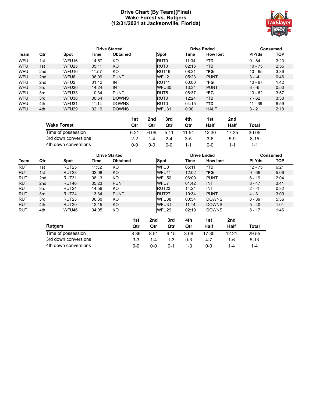## **Drive Chart (By Team)(Final) Wake Forest vs. Rutgers (12/31/2021 at Jacksonville, Florida)**



|            |                 |                   |       | <b>Drive Started</b> |                   | <b>Drive Ended</b> |                 | Consumed      |            |  |
|------------|-----------------|-------------------|-------|----------------------|-------------------|--------------------|-----------------|---------------|------------|--|
| Team       | Qtr             | Spot              | Time  | <b>Obtained</b>      | <b>Spot</b>       | Time               | <b>How lost</b> | <b>PI-Yds</b> | <b>TOP</b> |  |
| WFU        | 1st             | WFU <sub>16</sub> | 14:57 | KO                   | RUT <sub>0</sub>  | 11:34              | *TD             | $9 - 84$      | 3:23       |  |
| <b>WFU</b> | 1st             | WFU <sub>25</sub> | 05:11 | KO                   | RUT <sub>0</sub>  | 02:16              | $*TD$           | $10 - 75$     | 2:55       |  |
| WFU        | 2 <sub>nd</sub> | WFU <sub>16</sub> | 11:57 | KO                   | RUT <sub>19</sub> | 08:21              | *FG             | $10 - 65$     | 3:36       |  |
| <b>WFU</b> | 2 <sub>nd</sub> | WFU6              | 06:09 | <b>PUNT</b>          | WFU <sub>2</sub>  | 05:23              | <b>PUNT</b>     | $3 - -4$      | 0:46       |  |
| WFU        | 2nd             | WFU <sub>2</sub>  | 01:42 | INT                  | RUT <sub>11</sub> | 00:00              | *FG             | $10 - 87$     | 1:42       |  |
| <b>WFU</b> | 3rd             | WFU36             | 14:24 | <b>INT</b>           | WFU30             | 13:34              | <b>PUNT</b>     | $3 - -6$      | 0:50       |  |
| WFU        | 3rd             | WFU33             | 10:34 | <b>PUNT</b>          | RUT <sub>5</sub>  | 06:37              | *FG             | $13 - 62$     | 3:57       |  |
| <b>WFU</b> | 3rd             | <b>IWFU38</b>     | 00:54 | <b>DOWNS</b>         | RUT <sub>0</sub>  | 12:24              | $*TD$           | 7 - 62        | 3:30       |  |
| WFU        | 4th             | WFU31             | 11:14 | <b>DOWNS</b>         | RUT <sub>0</sub>  | 04:15              | *TD             | $11 - 69$     | 6:59       |  |
| <b>WFU</b> | 4th             | WFU <sub>29</sub> | 02:19 | <b>DOWNS</b>         | WFU31             | 0:00               | <b>HALF</b>     | $3 - 2$       | 2:19       |  |
|            |                 |                   |       |                      |                   |                    |                 |               |            |  |

|                      | 1st     | 2nd     | 3rd     | 4th   | 1st   | 2nd   |          |
|----------------------|---------|---------|---------|-------|-------|-------|----------|
| <b>Wake Forest</b>   | Qtr     | Qtr     | Qtr     | Qtr   | Half  | Half  | Total    |
| Time of possession   | 6:21    | 6:09    | 5:41    | 11:54 | 12:30 | 17:35 | 30:05    |
| 3rd down conversions | $2 - 2$ | 1-4     | $2 - 4$ | $3-5$ | $3-6$ | $5-9$ | $8 - 15$ |
| 4th down conversions | 0-0     | $0 - 0$ | 0-0     | 1-1   | ი-ი   |       | $1 - 1$  |

|            |                 |                   |       | <b>Drive Started</b> |                   | <b>Drive Ended</b> |                 | Consumed      |      |  |
|------------|-----------------|-------------------|-------|----------------------|-------------------|--------------------|-----------------|---------------|------|--|
| Team       | Qtr             | Spot              | Time  | <b>Obtained</b>      | <b>Spot</b>       | Time               | <b>How lost</b> | <b>PI-Yds</b> | TOP  |  |
| <b>RUT</b> | 1st             | RUT <sub>25</sub> | 11:32 | KO                   | <b>WFU0</b>       | 05:11              | $*TD$           | $12 - 75$     | 6:21 |  |
| <b>RUT</b> | 1st             | <b>RUT23</b>      | 02:08 | KO                   | WFU <sub>11</sub> | 12:02              | *FG             | $9 - 66$      | 5:06 |  |
| <b>RUT</b> | 2 <sub>nd</sub> | RUT31             | 08:13 | KO                   | WFU <sub>50</sub> | 06:09              | <b>PUNT</b>     | $6 - 19$      | 2:04 |  |
| <b>RUT</b> | 2 <sub>nd</sub> | RUT46             | 05:23 | <b>PUNT</b>          | WFU7              | 01:42              | <b>INT</b>      | $ 8 - 47$     | 3:41 |  |
| <b>RUT</b> | 3rd             | RUT <sub>24</sub> | 14:56 | KO                   | RUT23             | 14:24              | INT             | $12 - -1$     | 0:32 |  |
| <b>RUT</b> | 3rd             | <b>RUT24</b>      | 13:34 | <b>PUNT</b>          | <b>RUT27</b>      | 10:34              | <b>PUNT</b>     | $4 - 3$       | 3:00 |  |
| <b>RUT</b> | 3rd             | RUT <sub>23</sub> | 06:30 | ΚO                   | WFU38             | 00:54              | <b>DOWNS</b>    | $8 - 39$      | 5:36 |  |
| <b>RUT</b> | 4th             | <b>RUT29</b>      | 12:15 | KO                   | WFU31             | 11:14              | <b>DOWNS</b>    | $5 - 40$      | 1:01 |  |
| <b>RUT</b> | 4th             | WFU46             | 04:05 | KO                   | WFU <sub>29</sub> | 02:19              | <b>DOWNS</b>    | $8 - 17$      | 1:46 |  |

|                      | 1st   | 2nd        | 3rd     | 4th     | 1st   | 2nd     |          |
|----------------------|-------|------------|---------|---------|-------|---------|----------|
| <b>Rutgers</b>       | Qtr   | Qtr        | Qtr     | Qtr     | Half  | Half    | Total    |
| Time of possession   | 8:39  | 8:51       | 9:15    | 3:06    | 17:30 | 12:21   | 29:55    |
| 3rd down conversions | $3-3$ | $1 - 4$    | $1 - 3$ | $0 - 3$ | 4-7   | 1-6     | $5 - 13$ |
| 4th down conversions | 0-0   | <u>ດ-ດ</u> | $0 - 1$ | $1 - 3$ | ი-ი   | $1 - 4$ | 1-4      |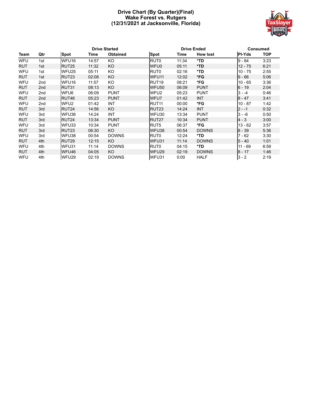## **Drive Chart (By Quarter)(Final) Wake Forest vs. Rutgers (12/31/2021 at Jacksonville, Florida)**



|            |                 |                   |       | <b>Drive Started</b> |                   | <b>Drive Ended</b> |                 | <b>Consumed</b> |      |
|------------|-----------------|-------------------|-------|----------------------|-------------------|--------------------|-----------------|-----------------|------|
| Team       | Qtr             | <b>Spot</b>       | Time  | <b>Obtained</b>      | <b>Spot</b>       | Time               | <b>How lost</b> | <b>PI-Yds</b>   | TOP  |
| WFU        | 1st             | WFU16             | 14:57 | KO                   | RUT <sub>0</sub>  | 11:34              | *TD             | $9 - 84$        | 3:23 |
| RUT        | 1st             | RUT <sub>25</sub> | 11:32 | KO                   | WFU0              | 05:11              | $*TD$           | $12 - 75$       | 6:21 |
| WFU        | 1st             | WFU <sub>25</sub> | 05:11 | KO                   | RUT <sub>0</sub>  | 02:16              | *TD             | $10 - 75$       | 2:55 |
| <b>RUT</b> | 1st             | RUT <sub>23</sub> | 02:08 | KO                   | WFU <sub>11</sub> | 12:02              | *FG             | $9 - 66$        | 5:06 |
| WFU        | 2 <sub>nd</sub> | WFU <sub>16</sub> | 11:57 | KO.                  | RUT <sub>19</sub> | 08:21              | *FG             | $10 - 65$       | 3:36 |
| <b>RUT</b> | 2 <sub>nd</sub> | RUT31             | 08:13 | KO                   | WFU <sub>50</sub> | 06:09              | <b>PUNT</b>     | $6 - 19$        | 2:04 |
| WFU        | 2 <sub>nd</sub> | WFU6              | 06:09 | <b>PUNT</b>          | WFU <sub>2</sub>  | 05:23              | <b>PUNT</b>     | $3 - -4$        | 0:46 |
| <b>RUT</b> | 2 <sub>nd</sub> | RUT46             | 05:23 | <b>PUNT</b>          | WFU7              | 01:42              | <b>INT</b>      | $8 - 47$        | 3:41 |
| WFU        | 2 <sub>nd</sub> | WFU <sub>2</sub>  | 01:42 | INT                  | RUT <sub>11</sub> | 00:00              | *FG             | $10 - 87$       | 1:42 |
| RUT        | 3rd             | RUT <sub>24</sub> | 14:56 | KO                   | RUT <sub>23</sub> | 14:24              | <b>INT</b>      | $2 - -1$        | 0:32 |
| WFU        | 3rd             | WFU36             | 14:24 | INT                  | WFU30             | 13:34              | <b>PUNT</b>     | $3 - -6$        | 0:50 |
| RUT        | 3rd             | RUT <sub>24</sub> | 13:34 | <b>PUNT</b>          | RUT <sub>27</sub> | 10:34              | <b>PUNT</b>     | $4 - 3$         | 3:00 |
| WFU        | 3rd             | WFU33             | 10:34 | <b>PUNT</b>          | <b>RUT5</b>       | 06:37              | *FG             | $13 - 62$       | 3:57 |
| <b>RUT</b> | 3rd             | RUT <sub>23</sub> | 06:30 | KO.                  | WFU38             | 00:54              | <b>DOWNS</b>    | $8 - 39$        | 5:36 |
| WFU        | 3rd             | WFU38             | 00:54 | <b>DOWNS</b>         | RUT <sub>0</sub>  | 12:24              | *TD             | $7 - 62$        | 3:30 |
| <b>RUT</b> | 4th             | RUT <sub>29</sub> | 12:15 | KO.                  | WFU31             | 11:14              | <b>DOWNS</b>    | $5 - 40$        | 1:01 |
| WFU        | 4th             | WFU31             | 11:14 | <b>DOWNS</b>         | RUT <sub>0</sub>  | 04:15              | *TD             | $11 - 69$       | 6:59 |
| <b>RUT</b> | 4th             | WFU46             | 04:05 | KO.                  | WFU <sub>29</sub> | 02:19              | <b>DOWNS</b>    | $8 - 17$        | 1:46 |
| WFU        | 4th             | WFU <sub>29</sub> | 02:19 | <b>DOWNS</b>         | WFU31             | 0:00               | <b>HALF</b>     | $3 - 2$         | 2:19 |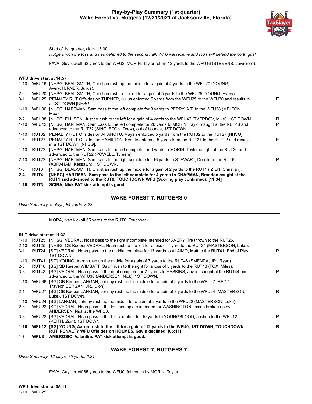#### **Play-by-Play Summary (1st quarter) Wake Forest vs. Rutgers (12/31/2021 at Jacksonville, Florida)**



*Rutgers won the toss and has deferred to the second half. WFU will receive and RUT will defend the north goal.* FAVA, Guy kickoff 62 yards to the WFU3, MORIN, Taylor return 13 yards to the WFU16 (STEVENS, Lawrence). **WFU drive start at 14:57** 1-10 WFU16 [NHSG] BEAL-SMITH, Christian rush up the middle for a gain of 4 yards to the WFU20 (YOUNG, Avery;TURNER, Julius). 2-6 WFU20 [NHSG] BEAL-SMITH, Christian rush to the left for a gain of 5 yards to the WFU25 (YOUNG, Avery). 3-1 WFU25 PENALTY RUT Offsides on TURNER, Julius enforced 5 yards from the WFU25 to the WFU30 and results in a 1ST DOWN [NHSG]. E 1-10 WFU30 [NHSG] HARTMAN, Sam pass to the left complete for 8 yards to PERRY, A.T. to the WFU38 (MELTON, Max). 2-2 WFU38 [NHSG] ELLISON, Justice rush to the left for a gain of 4 yards to the WFU42 (TVERDOV, Mike), 1ST DOWN. R 1-10 WFU42 [NHSG] HARTMAN, Sam pass to the left complete for 26 yards to MORIN, Taylor caught at the RUT43 and advanced to the RUT32 (SINGLETON, Drew), out of bounds, 1ST DOWN. P 1-10 RUT32 PENALTY RUT Offsides on AHANOTU, Mayan enforced 5 yards from the RUT32 to the RUT27 [NHSG]. 1-5 RUT27 PENALTY RUT Offsides on HAMILTON, Kyonte enforced 5 yards from the RUT27 to the RUT22 and results in a 1ST DOWN [NHSG]. E 1-10 RUT22 [NHSG] HARTMAN, Sam pass to the left complete for 0 yards to MORIN, Taylor caught at the RUT26 and advanced to the RUT22 (POWELL, Tyreem). 2-10 RUT22 [NHSG] HARTMAN, Sam pass to the right complete for 16 yards to STEWART, Donald to the RUT6 (ABRAHAM, Kessawn), 1ST DOWN. P 1-6 RUT6 [NHSG] BEAL-SMITH, Christian rush up the middle for a gain of 2 yards to the RUT4 (IZIEN, Christian). **2-4 RUT4 [NHSG] HARTMAN, Sam pass to the left complete for 4 yards to CHAPMAN, Brandon caught at the RUT1 and advanced to the RUT0, TOUCHDOWN WFU (Scoring play confirmed). [11:34] 1-10 RUT3 SCIBA, Nick PAT kick attempt is good.**

## **WAKE FOREST 7, RUTGERS 0**

*Drive Summary: 9 plays, 84 yards, 3:23*

Start of 1st quarter, clock 15:00.

#### MORA, Ivan kickoff 65 yards to the RUT0, Touchback.

#### **RUT drive start at 11:32**

| $1 - 3$  | <b>WFU3</b> | AMBROSIO, Valentino PAT kick attempt is good.                                                                                                                    |    |
|----------|-------------|------------------------------------------------------------------------------------------------------------------------------------------------------------------|----|
| $1 - 10$ |             | WFU12 [SG] YOUNG, Aaron rush to the left for a gain of 12 yards to the WFU0, 1ST DOWN, TOUCHDOWN<br>RUT. PENALTY WFU Offsides on HOLMES, Gavin declined. [05:11] | R  |
| 3-8      | WFU22       | [SG] VEDRAL, Noah pass to the left complete for 10 yards to YOUNGBLOOD, Joshua to the WFU12<br>(KEITH, Zion), 1ST DOWN.                                          | P  |
| $2 - 8$  |             | WFU22 [SG] VEDRAL, Noah pass to the left incomplete intended for WASHINGTON, Isaiah broken up by<br>ANDERSEN, Nick at the WFU0.                                  |    |
| 1-10     |             | WFU24 [SG] LANGAN, Johnny rush up the middle for a gain of 2 yards to the WFU22 (MASTERSON, Luke).                                                               |    |
| $2 - 1$  | WFU27       | [SG] QB Keeper LANGAN, Johnny rush up the middle for a gain of 3 yards to the WFU24 (MASTERSON,<br>Luke), 1ST DOWN.                                              | R. |
|          |             | 1-10 WFU36 [SG] QB Keeper LANGAN, Johnny rush up the middle for a gain of 9 yards to the WFU27 (REDD,<br>Traveon: BERGAN, JR., Dion).                            |    |
| 3-8      | RUT43       | [SG] VEDRAL, Noah pass to the right complete for 21 yards to HASKINS, Jovani caught at the RUT44 and<br>advanced to the WFU36 (ANDERSEN, Nick), 1ST DOWN.        | P  |
| $2 - 3$  |             | RUT48 [SG] QB Keeper WIMSATT, Gavin rush to the right for a loss of 5 yards to the RUT43 (FOX, Miles).                                                           |    |
| $1 - 10$ | RUT41       | [SG] YOUNG, Aaron rush up the middle for a gain of 7 yards to the RUT48 (SMENDA, JR., Ryan).                                                                     |    |
| $3 - 11$ | RUT24       | [SG] VEDRAL, Noah pass up the middle complete for 17 yards to ALAIMO, Matt to the RUT41, End of Play,<br>1ST DOWN.                                               | P  |
| $2 - 10$ | RUT25       | [NHSG] QB Keeper VEDRAL, Noah rush to the left for a loss of 1 yard to the RUT24 (MASTERSON, Luke).                                                              |    |
| 1-10     | RUT25       | [NHSG] VEDRAL, Noah pass to the right incomplete intended for AVERY, Tre thrown to the RUT25.                                                                    |    |

## **WAKE FOREST 7, RUTGERS 7**

*Drive Summary: 12 plays, 75 yards, 6:21*

FAVA, Guy kickoff 65 yards to the WFU0, fair catch by MORIN, Taylor.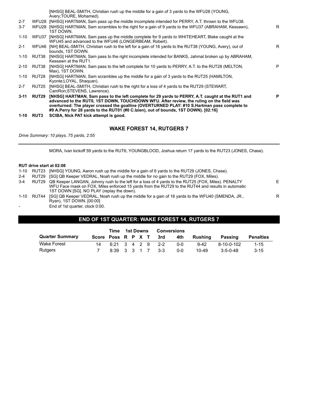|          |            | [NHSG] BEAL-SMITH, Christian rush up the middle for a gain of 3 yards to the WFU28 (YOUNG,<br>Avery: TOURE, Mohamed).                                                                                                                                                                                                                                                                |   |
|----------|------------|--------------------------------------------------------------------------------------------------------------------------------------------------------------------------------------------------------------------------------------------------------------------------------------------------------------------------------------------------------------------------------------|---|
| $2 - 7$  |            | WFU28 [NHSG] HARTMAN, Sam pass up the middle incomplete intended for PERRY, A.T. thrown to the WFU38.                                                                                                                                                                                                                                                                                |   |
| $3 - 7$  | WFU28      | [NHSG] HARTMAN, Sam scrambles to the right for a gain of 9 yards to the WFU37 (ABRAHAM, Kessawn),<br>1ST DOWN.                                                                                                                                                                                                                                                                       | R |
| 1-10     | WFU37      | [NHSG] HARTMAN, Sam pass up the middle complete for 9 yards to WHITEHEART, Blake caught at the<br>WFU45 and advanced to the WFU46 (LONGERBEAM, Robert).                                                                                                                                                                                                                              |   |
| $2 - 1$  |            | WFU46 [NH] BEAL-SMITH, Christian rush to the left for a gain of 16 yards to the RUT38 (YOUNG, Avery), out of<br>bounds, 1ST DOWN.                                                                                                                                                                                                                                                    | R |
|          | 1-10 RUT38 | [NHSG] HARTMAN, Sam pass to the right incomplete intended for BANKS, Jahmal broken up by ABRAHAM,<br>Kessawn at the RUT1.                                                                                                                                                                                                                                                            |   |
| 2-10     | RUT38      | [NHSG] HARTMAN, Sam pass to the left complete for 10 yards to PERRY, A.T. to the RUT28 (MELTON,<br>Max), 1ST DOWN.                                                                                                                                                                                                                                                                   | P |
| $1 - 10$ | RUT28      | [NHSG] HARTMAN, Sam scrambles up the middle for a gain of 3 yards to the RUT25 (HAMILTON,<br>Kyonte: LOYAL, Shaquan).                                                                                                                                                                                                                                                                |   |
| $2 - 7$  | RUT25      | [NHSG] BEAL-SMITH, Christian rush to the right for a loss of 4 yards to the RUT29 (STEWART,<br>CamRon; STEVENS, Lawrence).                                                                                                                                                                                                                                                           |   |
| $3 - 11$ | RUT29      | [NHSG] HARTMAN, Sam pass to the left complete for 29 yards to PERRY, A.T. caught at the RUT1 and<br>advanced to the RUT0, 1ST DOWN, TOUCHDOWN WFU. After review, the ruling on the field was<br>overturned: The player crossed the goalline (OVERTURNED PLAY: #10 S.Hartman pass complete to<br>#9 A.Perry for 28 yards to the RUT01 (#0 C.Izien), out of bounds, 1ST DOWN). [02:16] | P |
| 1-10     | RUT3       | SCIBA, Nick PAT kick attempt is good.                                                                                                                                                                                                                                                                                                                                                |   |

## **WAKE FOREST 14, RUTGERS 7**

*Drive Summary: 10 plays, 75 yards, 2:55*

MORA, Ivan kickoff 59 yards to the RUT6, YOUNGBLOOD, Joshua return 17 yards to the RUT23 (JONES, Chase).

#### **RUT drive start at 02:08**

|          |       | $1101$ anvestant at 02.00                                                                                                                                                                                                                                   |    |
|----------|-------|-------------------------------------------------------------------------------------------------------------------------------------------------------------------------------------------------------------------------------------------------------------|----|
|          |       | 1-10 RUT23 [NHSG] YOUNG, Aaron rush up the middle for a gain of 6 yards to the RUT29 (JONES, Chase).                                                                                                                                                        |    |
| $2 - 4$  | RUT29 | [SG] QB Keeper VEDRAL, Noah rush up the middle for no gain to the RUT29 (FOX, Miles).                                                                                                                                                                       |    |
| $3-4$    |       | RUT29 QB Keeper LANGAN, Johnny rush to the left for a loss of 4 yards to the RUT25 (FOX, Miles). PENALTY<br>WFU Face mask on FOX, Miles enforced 15 yards from the RUT29 to the RUT44 and results in automatic<br>1ST DOWN [SG]. NO PLAY (replay the down). | F. |
| $1 - 10$ | RUT44 | [SG] QB Keeper VEDRAL, Noah rush up the middle for a gain of 16 yards to the WFU40 (SMENDA, JR.,<br>Ryan), 1ST DOWN, [00:00]                                                                                                                                | R  |
|          |       | End of 1st quarter, clock 0:00.                                                                                                                                                                                                                             |    |
|          |       |                                                                                                                                                                                                                                                             |    |

# **END OF 1ST QUARTER: WAKE FOREST 14, RUTGERS 7**

|                        |                    | Time         | 1st Downs |  | <b>Conversions</b> |         |           |                    |                  |
|------------------------|--------------------|--------------|-----------|--|--------------------|---------|-----------|--------------------|------------------|
| <b>Quarter Summary</b> | Score Poss R P X T |              |           |  | 3rd                | 4th     | Rushina   | Passing            | <b>Penalties</b> |
| Wake Forest            | 14                 |              |           |  | 6:21 3 4 2 9 2-2   | $0 - 0$ | $9 - 42$  | $8 - 10 - 0 - 102$ | $1 - 15$         |
| Rutgers                |                    | 8:39 3 3 1 7 |           |  | - 3-3              | $0 - 0$ | $10 - 49$ | $3 - 5 - 0 - 48$   | $3 - 15$         |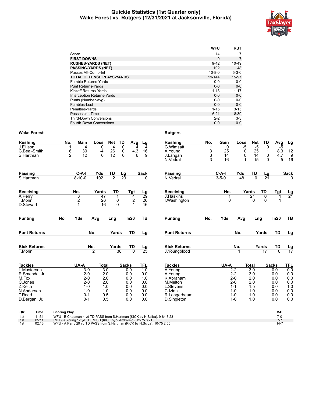#### **Quickie Statistics (1st Quarter only) Wake Forest vs. Rutgers (12/31/2021 at Jacksonville, Florida)**



|                                   | <b>WFU</b>   | <b>RUT</b>  |
|-----------------------------------|--------------|-------------|
| Score                             | 14           | 7           |
| <b>FIRST DOWNS</b>                | 9            | 7           |
| <b>RUSHES-YARDS (NET)</b>         | $9 - 42$     | 10-49       |
| <b>PASSING-YARDS (NET)</b>        | 102          | 48          |
| Passes Att-Comp-Int               | $10 - 8 - 0$ | $5 - 3 - 0$ |
| <b>TOTAL OFFENSE PLAYS-YARDS</b>  | 19-144       | 15-97       |
| <b>Fumble Returns-Yards</b>       | $0 - 0$      | $0-0$       |
| <b>Punt Returns-Yards</b>         | $0 - 0$      | $0 - 0$     |
| Kickoff Returns-Yards             | $1 - 13$     | $1 - 17$    |
| <b>Interception Returns-Yards</b> | $0 - 0$      | $0-0$       |
| Punts (Number-Avg)                | $0 - 0$      | $0-0$       |
| Fumbles-Lost                      | $0 - 0$      | $0 - 0$     |
| Penalties-Yards                   | $1 - 15$     | $3 - 15$    |
| Possession Time                   | 6:21         | 8:39        |
| <b>Third-Down Conversions</b>     | $2 - 2$      | $3 - 3$     |
| Fourth-Down Conversions           | $0 - 0$      | $0 - 0$     |

| <b>Rushing</b>                                              | No.           | Gain                                                | Loss                  | Net                             | TD                                | Avg                  | Lg                                           | <b>Rushing</b>                                                  | No.              | Gain                 | Loss                                                | Net                                            | TD                           | Avg                               | <u>Lg</u>                       |
|-------------------------------------------------------------|---------------|-----------------------------------------------------|-----------------------|---------------------------------|-----------------------------------|----------------------|----------------------------------------------|-----------------------------------------------------------------|------------------|----------------------|-----------------------------------------------------|------------------------------------------------|------------------------------|-----------------------------------|---------------------------------|
| J.Ellison<br>C.Beal-Smith<br>S.Hartman                      | $\frac{6}{2}$ | 4<br>30<br>12                                       | 0<br>$-4$<br>$\Omega$ | 4<br>26<br>12                   | 0<br>0<br>$\mathbf 0$             | 4<br>4.3<br>6        | 4<br>16<br>9                                 | G.Wimsatt<br>A. Young<br>J.Langan<br>N.Vedral                   | 1<br>3<br>3<br>3 | 0<br>25<br>14<br>16  | $-5$<br>0<br>0<br>-1                                | $-5$<br>25<br>14<br>15                         | 0<br>1<br>0<br>$\Omega$      | $-5$<br>8.3<br>4.7<br>5           | 12<br>$\boldsymbol{9}$<br>16    |
| Passing<br>S.Hartman                                        |               | $C-A-I$<br>$8 - 10 - 0$                             | Yds<br>102            | TD<br>$\overline{2}$            | Lg<br>29                          |                      | Sack<br>$\Omega$                             | Passing<br>N.Vedral                                             |                  | C-A-I<br>$3 - 5 - 0$ | Yds<br>48                                           | TD<br>$\overline{0}$                           | <u>Lg</u><br>$\overline{21}$ |                                   | <b>Sack</b>                     |
| Receiving                                                   |               | No.                                                 | Yards                 | TD                              |                                   | Tgt                  |                                              | Receiving                                                       |                  | No.                  |                                                     | Yards                                          | TD                           | Tgt                               |                                 |
| A.Perry<br>T.Morin<br>D.Stewart                             |               | $\frac{3}{2}$<br>1                                  | 47<br>26<br>16        | 0<br>$\Omega$                   |                                   | 4<br>$\overline{c}$  | $\frac{Lg}{29}$<br>26<br>16                  | J.Haskins<br>I. Washington                                      |                  | 0                    |                                                     | $\overline{21}$<br>0                           | 0<br>0                       | 1                                 | $\frac{Lg}{21}$                 |
| <b>Punting</b>                                              | No.           | Yds                                                 | Avg                   | Lng                             |                                   | In20                 | ΤВ                                           | <b>Punting</b>                                                  | No.              | Yds                  | Avg                                                 | Lng                                            |                              | In20                              | <u>ТВ</u>                       |
| <b>Punt Returns</b>                                         |               |                                                     | No.                   | Yards                           |                                   | TD                   | Lg                                           | <b>Punt Returns</b>                                             |                  |                      | No.                                                 |                                                | Yards                        | <b>TD</b>                         | Lg                              |
| <b>Kick Returns</b><br>T.Morin                              |               |                                                     | No.<br>$\overline{2}$ | Yards                           | $\overline{38}$                   | TD<br>$\overline{0}$ | $\frac{\text{Lg}}{25}$                       | <b>Kick Returns</b><br>J.Youngblood                             |                  |                      | No.                                                 |                                                | Yards<br>$\overline{17}$     | TD<br>$\Omega$                    | <u>Lg</u><br>17                 |
| <b>Tackles</b><br>L.Masterson<br>R.Smenda, Jr.<br>M.Fox     |               | UA-A<br>$3-0$<br>$2 - 0$<br>$2 - 0$                 | <b>Total</b>          | 3.0<br>2.0<br>2.0               | <b>Sacks</b><br>0.0<br>0.0<br>0.0 |                      | <b>TFL</b><br>$\overline{1.0}$<br>0.0<br>1.0 | <b>Tackles</b><br>A. Young<br>A. Young<br>K.Abraham             |                  | UA-A                 | $2 - 2$<br>$2 - 2$<br>$2 - 0$                       | <b>Total</b><br>$\overline{3.0}$<br>3.0<br>2.0 |                              | <b>Sacks</b><br>0.0<br>0.0<br>0.0 | TFL<br>0.0<br>0.0<br>0.0        |
| C.Jones<br>Z.Keith<br>N.Andersen<br>T.Redd<br>D.Bergan, Jr. |               | $2 - 0$<br>$1 - 0$<br>$1 - 0$<br>$0 - 1$<br>$0 - 1$ |                       | 2.0<br>1.0<br>1.0<br>0.5<br>0.5 | 0.0<br>0.0<br>0.0<br>0.0<br>0.0   |                      | 0.0<br>0.0<br>0.0<br>0.0<br>0.0              | M.Melton<br>L.Stevens<br>C.Izien<br>R.Longerbeam<br>D.Singleton |                  |                      | $2 - 0$<br>$1 - 1$<br>$1 - 0$<br>$1 - 0$<br>$1 - 0$ | 2.0<br>1.5<br>1.0<br>1.0<br>1.0                |                              | 0.0<br>0.0<br>0.0<br>0.0<br>0.0   | 0.0<br>1.0<br>0.0<br>0.0<br>0.0 |

| Qtr | Time  | <b>Scoring Play</b>                                                      | V-H    |
|-----|-------|--------------------------------------------------------------------------|--------|
| 1st | 11:34 | WFU - B.Chapman 4 yd TD PASS from S.Hartman (KICK by N.Sciba), 9-84 3:23 |        |
| 1st | 05:11 | RUT - A. Young 12 yd TD RUSH (KICK by V. Ambrosio), 12-75 6:21           |        |
| 1st | 02:16 | WFU - A.Perry 29 yd TD PASS from S.Hartman (KICK by N.Sciba), 10-75 2:55 | $14-7$ |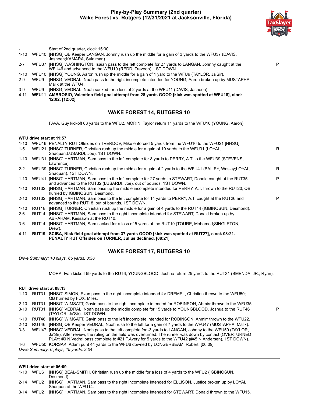#### **Play-by-Play Summary (2nd quarter) Wake Forest vs. Rutgers (12/31/2021 at Jacksonville, Florida)**



P

R

P

P

|      |                   | Start of 2nd quarter, clock 15:00.                                                                                                                             |
|------|-------------------|----------------------------------------------------------------------------------------------------------------------------------------------------------------|
| 1-10 |                   | WFU40 [NHSG] QB Keeper LANGAN, Johnny rush up the middle for a gain of 3 yards to the WFU37 (DAVIS,<br>Jasheen; KAMARA, Sulaiman).                             |
| 2-7  | WFU37             | [NHSG] WASHINGTON, Isaiah pass to the left complete for 27 yards to LANGAN, Johnny caught at the<br>WFU46 and advanced to the WFU10 (REDD, Traveon), 1ST DOWN. |
| 1-10 |                   | WFU10 [NHSG] YOUNG, Aaron rush up the middle for a gain of 1 yard to the WFU9 (TAYLOR, Ja'Sir).                                                                |
| 2-9  | WFU9              | [NHSG] VEDRAL, Noah pass to the right incomplete intended for YOUNG, Aaron broken up by MUSTAPHA,<br>Malik at the WFU4.                                        |
| 3-9  | WFU9              | [NHSG] VEDRAL, Noah sacked for a loss of 2 yards at the WFU11 (DAVIS, Jasheen).                                                                                |
| 4-11 | WFU <sub>11</sub> | AMBROSIO, Valentino field goal attempt from 28 yards GOOD [kick was spotted at WFU18], clock<br>12:02. [12:02]                                                 |
|      |                   | <b>WAKE FOREST 14, RUTGERS 10</b>                                                                                                                              |
|      |                   | FAVA, Guy kickoff 63 yards to the WFU2, MORIN, Taylor return 14 yards to the WFU16 (YOUNG, Aaron).                                                             |
|      |                   | WFU drive start at 11:57                                                                                                                                       |
| 1-10 |                   | WFU16 PENALTY RUT Offsides on TVERDOV, Mike enforced 5 yards from the WFU16 to the WFU21 [NHSG].                                                               |
| 1-5  |                   | WFU21 [NHSG] TURNER, Christian rush up the middle for a gain of 10 yards to the WFU31 (LOYAL,<br>Shaquan;LUSARDI, Joe), 1ST DOWN.                              |

- 1-10 WFU31 [NHSG] HARTMAN, Sam pass to the left complete for 8 yards to PERRY, A.T. to the WFU39 (STEVENS, Lawrence). 2-2 WFU39 [NHSG] TURNER, Christian rush up the middle for a gain of 2 yards to the WFU41 (BAILEY, Wesley;LOYAL,
- Shaquan), 1ST DOWN. R 1-10 WFU41 [NHSG] HARTMAN, Sam pass to the left complete for 27 yards to STEWART, Donald caught at the RUT35 and advanced to the RUT32 (LUSARDI, Joe), out of bounds, 1ST DOWN. P
- 1-10 RUT32 [NHSG] HARTMAN, Sam pass up the middle incomplete intended for PERRY, A.T. thrown to the RUT20; QB hurried by IGBINOSUN, Desmond.
- 2-10 RUT32 [NHSG] HARTMAN, Sam pass to the left complete for 14 yards to PERRY, A.T. caught at the RUT26 and advanced to the RUT18, out of bounds, 1ST DOWN.
- 1-10 RUT18 [NHSG] TURNER, Christian rush up the middle for a gain of 4 yards to the RUT14 (IGBINOSUN, Desmond).
- 2-6 RUT14 [NHSG] HARTMAN, Sam pass to the right incomplete intended for STEWART, Donald broken up by ABRAHAM, Kessawn at the RUT10.
- 3-6 RUT14 [NHSG] HARTMAN, Sam sacked for a loss of 5 yards at the RUT19 (TOURE, Mohamed;SINGLETON, Drew).
- **4-11 RUT19 SCIBA, Nick field goal attempt from 37 yards GOOD [kick was spotted at RUT27], clock 08:21. PENALTY RUT Offsides on TURNER, Julius declined. [08:21]**

## **WAKE FOREST 17, RUTGERS 10**

*Drive Summary: 10 plays, 65 yards, 3:36*

MORA, Ivan kickoff 59 yards to the RUT6, YOUNGBLOOD, Joshua return 25 yards to the RUT31 (SMENDA, JR., Ryan).

## **RUT drive start at 08:13**

| 1-10     | RUT31 | [NHSG] SIMON, Evan pass to the right incomplete intended for DREMEL, Christian thrown to the WFU50;<br>QB hurried by FOX, Miles.                                                                                                                                                                                           |
|----------|-------|----------------------------------------------------------------------------------------------------------------------------------------------------------------------------------------------------------------------------------------------------------------------------------------------------------------------------|
| $2 - 10$ | RUT31 | [NHSG] WIMSATT, Gavin pass to the right incomplete intended for ROBINSON, Ahmirr thrown to the WFU35.                                                                                                                                                                                                                      |
| 3-10     | RUT31 | [NHSG] VEDRAL, Noah pass up the middle complete for 15 yards to YOUNGBLOOD, Joshua to the RUT46<br>(TAYLOR, Ja'Sir), 1ST DOWN.                                                                                                                                                                                             |
| 1-10     | RUT46 | [NHSG] WIMSATT, Gavin pass to the left incomplete intended for ROBINSON, Ahmirr thrown to the WFU22.                                                                                                                                                                                                                       |
| $2 - 10$ | RUT46 | [NHSG] QB Keeper VEDRAL, Noah rush to the left for a gain of 7 yards to the WFU47 (MUSTAPHA, Malik).                                                                                                                                                                                                                       |
| $3-3$    | WFU47 | [NHSG] VEDRAL, Noah pass to the left complete for -3 yards to LANGAN, Johnny to the WFU50 (TAYLOR,<br>Ja'Sir). After review, the ruling on the field was overturned: The runner was down by contact (OVERTURNED<br>PLAY: #0 N. Vedral pass complete to #21 T. Avery for 5 yards to the WFU42 (#45 N. Andersen), 1ST DOWN). |
| 4-6      |       | WFU50 KORSAK, Adam punt 44 yards to the WFU6 downed by LONGERBEAM, Robert. [06:09]                                                                                                                                                                                                                                         |
|          |       | Drive Summary: 6 plays, 19 yards, 2:04                                                                                                                                                                                                                                                                                     |

#### **WFU drive start at 06:09**

| $1 - 10$ | WFU6         | [NHSG] BEAL-SMITH, Christian rush up the middle for a loss of 4 yards to the WFU2 (IGBINOSUN,      |
|----------|--------------|----------------------------------------------------------------------------------------------------|
|          |              | Desmond).                                                                                          |
| 2-14     | WFU2         | [NHSG] HARTMAN, Sam pass to the right incomplete intended for ELLISON, Justice broken up by LOYAL, |
|          |              | Shaguan at the WFU14.                                                                              |
| 2.11     | <b>MELIO</b> | INHECTUAD TMANI, Sam pass to the right incomplete intended for STEWADT, Depald thrown to the WELLE |

3-14 WFU2 [NHSG] HARTMAN, Sam pass to the right incomplete intended for STEWART, Donald thrown to the WFU15.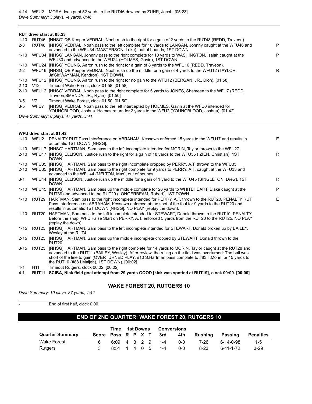#### **RUT drive start at 05:23**

| $1 - 10$ |      | RUT46 [NHSG] QB Keeper VEDRAL, Noah rush to the right for a gain of 2 yards to the RUT48 (REDD, Traveon).                                                                             |   |
|----------|------|---------------------------------------------------------------------------------------------------------------------------------------------------------------------------------------|---|
| $2 - 8$  |      | RUT48 [NHSG] VEDRAL, Noah pass to the left complete for 18 yards to LANGAN, Johnny caught at the WFU46 and<br>advanced to the WFU34 (MASTERSON, Luke), out of bounds, 1ST DOWN.       | P |
| 1-10     |      | WFU34 [NHSG] LANGAN, Johnny pass to the right complete for 10 yards to WASHINGTON, Isaiah caught at the<br>WFU30 and advanced to the WFU24 (HOLMES, Gavin), 1ST DOWN.                 | P |
| 1-10     |      | WFU24 [NHSG] YOUNG, Aaron rush to the right for a gain of 8 yards to the WFU16 (REDD, Traveon).                                                                                       |   |
| $2 - 2$  |      | WFU16 [NHSG] QB Keeper VEDRAL, Noah rush up the middle for a gain of 4 yards to the WFU12 (TAYLOR,<br>Ja'Sir; WAYMAN, Kendron), 1ST DOWN.                                             | R |
| 1-10     |      | WFU12 [NHSG] YOUNG, Aaron rush to the right for no gain to the WFU12 (BERGAN, JR., Dion). [01:58]                                                                                     |   |
| $2 - 10$ |      | V12 Timeout Wake Forest, clock 01:58. [01:58]                                                                                                                                         |   |
| $2 - 10$ |      | WFU12 [NHSG] VEDRAL, Noah pass to the right complete for 5 yards to JONES, Shameen to the WFU7 (REDD,<br>Traveon: SMENDA, JR., Ryan). [01:50]                                         |   |
| $3 - 5$  | V7   | Timeout Wake Forest, clock 01:50. [01:50]                                                                                                                                             |   |
| $3 - 5$  | WFU7 | [NHSG] VEDRAL, Noah pass to the left intercepted by HOLMES, Gavin at the WFU0 intended for<br>YOUNGBLOOD, Joshua. Holmes return for 2 yards to the WFU2 (YOUNGBLOOD, Joshua). [01:42] |   |
|          |      | Drive Summary: 8 plays, 47 yards, 3:41                                                                                                                                                |   |
|          |      |                                                                                                                                                                                       |   |
|          |      |                                                                                                                                                                                       |   |

|          |                   | WFU drive start at 01:42                                                                                                                                                                                                                                                                                                                                                     |   |
|----------|-------------------|------------------------------------------------------------------------------------------------------------------------------------------------------------------------------------------------------------------------------------------------------------------------------------------------------------------------------------------------------------------------------|---|
|          |                   | 1-10 WFU2 PENALTY RUT Pass Interference on ABRAHAM, Kessawn enforced 15 yards to the WFU17 and results in<br>automatic 1ST DOWN [NHSG].                                                                                                                                                                                                                                      | E |
| $1 - 10$ |                   | WFU17 [NHSG] HARTMAN, Sam pass to the left incomplete intended for MORIN, Taylor thrown to the WFU27.                                                                                                                                                                                                                                                                        |   |
| $2 - 10$ |                   | WFU17 [NHSG] ELLISON, Justice rush to the right for a gain of 18 yards to the WFU35 (IZIEN, Christian), 1ST<br>DOWN.                                                                                                                                                                                                                                                         | R |
| $1 - 10$ |                   | WFU35 [NHSG] HARTMAN, Sam pass to the right incomplete dropped by PERRY, A.T. thrown to the WFU35.                                                                                                                                                                                                                                                                           |   |
| $2 - 10$ |                   | WFU35 [NHSG] HARTMAN, Sam pass to the right complete for 9 yards to PERRY, A.T. caught at the WFU33 and<br>advanced to the WFU44 (MELTON, Max), out of bounds.                                                                                                                                                                                                               |   |
| $3 - 1$  |                   | WFU44 [NHSG] ELLISON, Justice rush up the middle for a gain of 1 yard to the WFU45 (SINGLETON, Drew), 1ST<br>DOWN.                                                                                                                                                                                                                                                           | R |
| $1 - 10$ |                   | WFU45 [NHSG] HARTMAN, Sam pass up the middle complete for 26 yards to WHITEHEART, Blake caught at the<br>RUT39 and advanced to the RUT29 (LONGERBEAM, Robert), 1ST DOWN.                                                                                                                                                                                                     | P |
|          | 1-10 RUT29        | HARTMAN, Sam pass to the right incomplete intended for PERRY, A.T. thrown to the RUT20. PENALTY RUT<br>Pass Interference on ABRAHAM, Kessawn enforced at the spot of the foul for 9 yards to the RUT20 and<br>results in automatic 1ST DOWN [NHSG]. NO PLAY (replay the down).                                                                                               | E |
|          | 1-10 RUT20        | HARTMAN, Sam pass to the left incomplete intended for STEWART, Donald thrown to the RUT10. PENALTY<br>Before the snap, WFU False Start on PERRY, A.T. enforced 5 yards from the RUT20 to the RUT25. NO PLAY<br>(replay the down).                                                                                                                                            |   |
|          | 1-15 RUT25        | [NHSG] HARTMAN, Sam pass to the left incomplete intended for STEWART, Donald broken up by BAILEY,<br>Wesley at the RUT4.                                                                                                                                                                                                                                                     |   |
| $2 - 15$ | RUT25             | [NHSG] HARTMAN, Sam pass up the middle incomplete dropped by STEWART, Donald thrown to the<br><b>RUT20.</b>                                                                                                                                                                                                                                                                  |   |
| $3 - 15$ | RUT25             | [NHSG] HARTMAN, Sam pass to the right complete for 14 yards to MORIN, Taylor caught at the RUT28 and<br>advanced to the RUT11 (BAILEY, Wesley). After review, the ruling on the field was overturned: The ball was<br>short of the line to gain (OVERTURNED PLAY: #10 S.Hartman pass complete to #83 T.Morin for 15 yards to<br>the RUT10 (#88 I.Maijeh), 1ST DOWN). [00:02] |   |
| $4-1$    | H <sub>11</sub>   | Timeout Rutgers, clock 00:02. [00:02]                                                                                                                                                                                                                                                                                                                                        |   |
| $4 - 1$  | RUT <sub>11</sub> | SCIBA, Nick field goal attempt from 29 yards GOOD [kick was spotted at RUT19], clock 00:00. [00:00]                                                                                                                                                                                                                                                                          |   |

## **WAKE FOREST 20, RUTGERS 10**

*Drive Summary: 10 plays, 87 yards, 1:42*

End of first half, clock 0:00.

# **END OF 2ND QUARTER: WAKE FOREST 20, RUTGERS 10**

|                        |                    | <b>Conversions</b><br>Time 1st Downs |  |  |  |  |         |     |         |                   |           |
|------------------------|--------------------|--------------------------------------|--|--|--|--|---------|-----|---------|-------------------|-----------|
| <b>Quarter Summary</b> | Score Poss R P X T |                                      |  |  |  |  | 3rd     | 4th | Rushina | Passing           | Penalties |
| Wake Forest            |                    | $6:09$ 4 3 2 9                       |  |  |  |  | $1 - 4$ | ი-ი | 7-26    | $6 - 14 - 0 - 98$ | $1 - 5$   |
| Rutgers                |                    | 8:51 1 4 0 5                         |  |  |  |  | $1 - 4$ | 0-0 | $8-23$  | 6-11-1-72         | $3-29$    |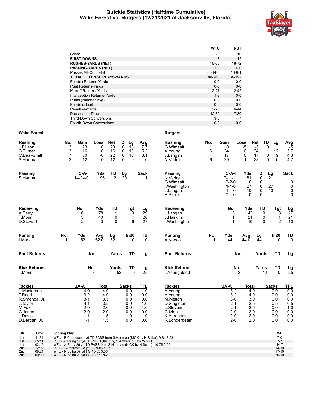#### **Quickie Statistics (Halftime Cumulative) Wake Forest vs. Rutgers (12/31/2021 at Jacksonville, Florida)**



|                                   | <b>WFU</b>    | <b>RUT</b> |
|-----------------------------------|---------------|------------|
| Score                             | 20            | 10         |
| <b>FIRST DOWNS</b>                | 18            | 12         |
| <b>RUSHES-YARDS (NET)</b>         | 16-68         | 18-72      |
| <b>PASSING-YARDS (NET)</b>        | 200           | 120        |
| Passes Att-Comp-Int               | $24 - 14 - 0$ | $16-9-1$   |
| <b>TOTAL OFFENSE PLAYS-YARDS</b>  | 40-268        | 34-192     |
| Fumble Returns-Yards              | $0 - 0$       | $0-0$      |
| <b>Punt Returns-Yards</b>         | $0 - 0$       | $0 - 0$    |
| Kickoff Returns-Yards             | $2 - 27$      | $2 - 42$   |
| <b>Interception Returns-Yards</b> | $1 - 2$       | $0-0$      |
| Punts (Number-Avg)                | $0 - 0$       | $0-0$      |
| Fumbles-Lost                      | $0 - 0$       | $0-0$      |
| Penalties-Yards                   | $2 - 20$      | 6-44       |
| <b>Possession Time</b>            | 12:30         | 17:30      |
| <b>Third-Down Conversions</b>     | $3-6$         | $4 - 7$    |
| Fourth-Down Conversions           | $0 - 0$       | $0 - 0$    |

| <b>Rushing</b>               | No.                                                                                                             | Gain                  | Loss            | <b>Net</b>            | <b>TD</b>       | Lg                    | Avg              | <b>Rushing</b>             | No.    | Gain                       | Loss           | <b>Net</b> | <b>TD</b><br>Lg | <b>Avg</b>                         |
|------------------------------|-----------------------------------------------------------------------------------------------------------------|-----------------------|-----------------|-----------------------|-----------------|-----------------------|------------------|----------------------------|--------|----------------------------|----------------|------------|-----------------|------------------------------------|
| J.Ellison<br>C.Turner        | 3                                                                                                               | $\overline{23}$<br>16 | 0               | $\overline{23}$<br>16 | $\Omega$        | $\overline{18}$<br>10 | 7.7<br>5.3       | G.Wimsatt<br>A. Young      | 1<br>6 | 0<br>34                    | $-5$           | $-5$<br>34 | 0<br>1          | $-5$<br>5.7                        |
| C.Beal-Smith                 | 3<br>$\overline{7}$                                                                                             | 30                    | 0<br>-8         | 22                    | 0<br>0          | 16                    | 3.1              | J.Langan                   | 4      | 17                         | 0<br>0         | 17         | 12<br>0         | 9<br>4.3                           |
| S.Hartman                    | $\overline{2}$                                                                                                  | 12                    | $\Omega$        | 12                    | $\Omega$        | 9                     | 6                | N.Vedral                   | 6      | 29                         | $-1$           | 28         | $\Omega$<br>16  | 4.7                                |
|                              |                                                                                                                 |                       |                 |                       |                 |                       |                  |                            |        |                            |                |            |                 |                                    |
| Passing                      |                                                                                                                 | C-A-I                 | Yds             | TD                    | Lg              |                       | <b>Sack</b>      | Passing                    |        | C-A-I                      | Yds            | TD         | Lg              | <b>Sack</b>                        |
| S.Hartman                    |                                                                                                                 | $14 - 24 - 0$         | 195             | 7                     | $\overline{29}$ |                       |                  | N.Vedral                   |        | $7 - 11 - 1$               | 81             | $\Omega$   | $\overline{21}$ |                                    |
|                              |                                                                                                                 |                       |                 |                       |                 |                       |                  | G.Wimsatt<br>I. Washington |        | $0 - 2 - 0$<br>$1 - 1 - 0$ | 0<br>27        | 0<br>0     | 27              | 0<br>0                             |
|                              |                                                                                                                 |                       |                 |                       |                 |                       |                  | J.Langan                   |        | $1 - 1 - 0$                | 10             | 0          | 10              | 0                                  |
|                              |                                                                                                                 |                       |                 |                       |                 |                       |                  | E.Simon                    |        | $0 - 1 - 0$                | $\Omega$       | $\Omega$   |                 | $\Omega$                           |
|                              |                                                                                                                 |                       |                 |                       |                 |                       |                  |                            |        |                            |                |            |                 |                                    |
| Receiving                    |                                                                                                                 | No.                   | Yds             | <b>TD</b>             |                 | <b>Tgt</b>            | Lg               | Receiving                  |        | No.                        | Yds            | TD         |                 | Tgt<br>$\frac{Lg}{27}$             |
| A.Perry                      |                                                                                                                 | 6                     | $\overline{78}$ | $\mathbf{1}$          |                 | 9                     | 29               | J.Langan                   |        | 3                          | 42             |            | $\mathbf 0$     | 3                                  |
| T.Morin<br>D.Stewart         |                                                                                                                 | 3<br>$\overline{2}$   | 40<br>43        | 0<br>$\Omega$         |                 | 4<br>6                | 26<br>27         | J.Haskins<br>I. Washington |        | 1<br>1                     | 21<br>10       |            | 0<br>$\Omega$   | 21<br>1<br>$\overline{2}$<br>10    |
|                              |                                                                                                                 |                       |                 |                       |                 |                       |                  |                            |        |                            |                |            |                 |                                    |
|                              |                                                                                                                 |                       |                 |                       |                 |                       |                  |                            |        |                            |                |            |                 |                                    |
| <b>Punting</b><br>I.Mora     | No.                                                                                                             | Yds<br>52             | Avg<br>52.0     | Lg<br>$\overline{52}$ |                 | In20<br>$\Omega$      | TВ<br>$\Omega$   | <b>Punting</b><br>A.Korsak | No.    | Yds<br>44                  | Avg<br>44.0    | Lg<br>44   | In20            | TВ<br>$\overline{0}$<br>U          |
|                              |                                                                                                                 |                       |                 |                       |                 |                       |                  |                            |        |                            |                |            |                 |                                    |
| <b>Punt Returns</b>          |                                                                                                                 |                       | No.             | Yards                 |                 | <b>TD</b>             | Lg               | <b>Punt Returns</b>        |        |                            | No.            | Yards      |                 | <b>TD</b><br>Lg                    |
|                              |                                                                                                                 |                       |                 |                       |                 |                       |                  |                            |        |                            |                |            |                 |                                    |
| <b>Kick Returns</b>          |                                                                                                                 |                       | No.             | Yards                 |                 | TD                    | Lg               | <b>Kick Returns</b>        |        |                            | No.            | Yards      |                 | <b>TD</b>                          |
| T.Morin                      |                                                                                                                 |                       | 3               |                       | 52              | $\Omega$              | $\overline{25}$  | J.Youngblood               |        |                            | $\overline{2}$ |            | 42              | $\frac{\text{Lg}}{25}$<br>$\Omega$ |
|                              |                                                                                                                 |                       |                 |                       |                 |                       |                  |                            |        |                            |                |            |                 |                                    |
| <b>Tackles</b>               |                                                                                                                 | UA-A                  | <b>Total</b>    |                       | <b>Sacks</b>    |                       | TFL              | <b>Tackles</b>             |        | UA-A                       | <b>Total</b>   |            | <b>Sacks</b>    | <b>TFL</b>                         |
| L.Masterson                  |                                                                                                                 | 4-0                   | 4.0             |                       |                 | 0.0                   | $\overline{1.0}$ | A. Young                   |        | $3-2$                      |                | 4.0        | 0.0             | 0.0                                |
| T.Redd<br>R.Smenda, Jr.      |                                                                                                                 | $3-2$<br>$3 - 1$      | 4.0<br>3.5      |                       |                 | 0.0<br>0.0            | 0.0<br>0.0       | A. Young<br>M.Melton       |        | $3 - 2$<br>$3-0$           |                | 4.0<br>3.0 | 0.0<br>0.0      | 0.0<br>0.0                         |
| J.Tavlor                     |                                                                                                                 | $3-1$                 | 3.5             |                       |                 | 0.0                   | 1.0              | D.Singleton                |        | $2 - 1$                    |                | 2.5        | 0.5             | 0.5                                |
| M.Fox                        |                                                                                                                 | $2 - 0$               | 2.0             |                       |                 | 0.0                   | 1.0              | L.Stevens                  |        | $2 - 1$                    |                | 2.5        | 0.0             | 1.0                                |
| C.Jones                      |                                                                                                                 | $2 - 0$               | 2.0             |                       |                 | 0.0                   | 0.0              | C.Izien                    |        | $2 - 0$                    |                | 2.0        | 0.0             | 0.0                                |
| J.Davis                      |                                                                                                                 | $1 - 1$               | 1.5             |                       |                 | 1.0                   | 1.0              | K.Abraham                  |        | $2 - 0$                    |                | 2.0        | 0.0             | 0.0                                |
| D.Bergan, Jr.                |                                                                                                                 | $1 - 1$               | 1.5             |                       |                 | 0.0                   | 0.0              | R.Longerbeam               |        | $2 - 0$                    |                | 2.0        | 0.0             | 0.0                                |
| Qtr<br>Time                  | <b>Scoring Play</b>                                                                                             |                       |                 |                       |                 |                       |                  |                            |        |                            |                |            |                 | V-H                                |
| 1st<br>11:34                 | WFU - B.Chapman 4 yd TD PASS from S.Hartman (KICK by N.Sciba), 9-84 3:23                                        |                       |                 |                       |                 |                       |                  |                            |        |                            |                |            |                 | $7-0$                              |
| 1st<br>05:11                 | RUT - A Young 12 yd TD RUSH (KICK by V Ambrosio), 12-75 6:21                                                    |                       |                 |                       |                 |                       |                  |                            |        |                            |                |            |                 | $7 - 7$                            |
| 1st<br>02:16<br>12:02<br>2nd | WFU - A.Perry 29 yd TD PASS from S.Hartman (KICK by N.Sciba), 10-75 2:55<br>RUT - V.Ambrosio 28 yd FG 9-66 5:06 |                       |                 |                       |                 |                       |                  |                            |        |                            |                |            |                 | $14 - 7$<br>$14 - 10$              |
| 08:21<br>2nd                 | WFU - N.Sciba 37 yd FG 10-65 3:36                                                                               |                       |                 |                       |                 |                       |                  |                            |        |                            |                |            |                 | $17 - 10$                          |
| 2nd<br>00:00                 | WFU - N.Sciba 29 yd FG 10-87 1:42                                                                               |                       |                 |                       |                 |                       |                  |                            |        |                            |                |            |                 | $20 - 10$                          |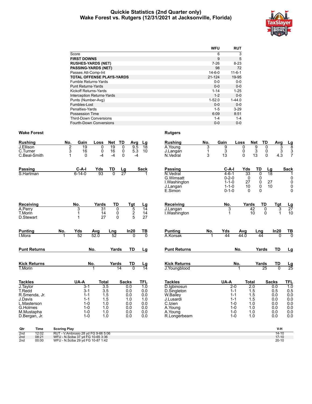#### **Quickie Statistics (2nd Quarter only) Wake Forest vs. Rutgers (12/31/2021 at Jacksonville, Florida)**



|                                   | <b>WFU</b>   | <b>RUT</b>   |
|-----------------------------------|--------------|--------------|
| Score                             | 6            | 3            |
| <b>FIRST DOWNS</b>                | 9            | 5            |
| <b>RUSHES-YARDS (NET)</b>         | 7-26         | $8 - 23$     |
| <b>PASSING-YARDS (NET)</b>        | 98           | 72           |
| Passes Att-Comp-Int               | $14 - 6 - 0$ | $11 - 6 - 1$ |
| <b>TOTAL OFFENSE PLAYS-YARDS</b>  | $21 - 124$   | 19-95        |
| <b>Fumble Returns-Yards</b>       | $0 - 0$      | $0 - 0$      |
| <b>Punt Returns-Yards</b>         | $0 - 0$      | $0 - 0$      |
| Kickoff Returns-Yards             | $1 - 14$     | $1 - 25$     |
| <b>Interception Returns-Yards</b> | $1 - 2$      | $0-0$        |
| Punts (Number-Avg)                | $1 - 52.0$   | $1 - 44.0$   |
| Fumbles-Lost                      | $0 - 0$      | $0-0$        |
| Penalties-Yards                   | $1 - 5$      | $3 - 29$     |
| <b>Possession Time</b>            | 6:09         | 8:51         |
| <b>Third-Down Conversions</b>     | $1 - 4$      | $1 - 4$      |
| Fourth-Down Conversions           | $0 - 0$      | $0 - 0$      |

| <b>Rushing</b>           | No.               | Gain               | Loss         | Net             | <b>TD</b><br>Avg     | Lg                     | <b>Rushing</b>             | No.    | Gain                       | Loss             | <b>Net</b><br><b>TD</b> | Avg             |                     |
|--------------------------|-------------------|--------------------|--------------|-----------------|----------------------|------------------------|----------------------------|--------|----------------------------|------------------|-------------------------|-----------------|---------------------|
| J.Ellison                | $\overline{2}$    | 19                 | $\Omega$     | 19              | $\mathbf 0$<br>9.5   | $\overline{18}$        | A. Young                   | 3      | 9                          | 0                | $\overline{9}$<br>0     | 3               | $\frac{Lg}{8}$      |
| C.Turner<br>C.Beal-Smith | 3<br>$\mathbf{1}$ | 16<br>$\Omega$     | 0<br>$-4$    | 16<br>$-4$      | 0<br>5.3<br>$\Omega$ | 10<br>$-4$             | J.Langan<br>N.Vedral       | 1<br>3 | 3<br>13                    | 0<br>$\mathbf 0$ | 3<br>0<br>13<br>0       | 3<br>4.3        | 3<br>$\overline{7}$ |
|                          |                   |                    |              |                 |                      |                        |                            |        |                            |                  |                         |                 |                     |
| <b>Passing</b>           |                   | $C-A-I$            | Yds          | TD              | Lg                   | <b>Sack</b>            | <b>Passing</b>             |        | $C-A-I$                    | Yds              | TD                      | $\frac{Lg}{18}$ | <b>Sack</b>         |
| S.Hartman                |                   | $6 - 14 - 0$       | 93           | $\overline{0}$  | $\overline{27}$      |                        | N.Vedral                   |        | $4 - 6 - 1$                | 33               | $\overline{0}$          |                 | 1                   |
|                          |                   |                    |              |                 |                      |                        | G.Wimsatt<br>I. Washington |        | $0 - 2 - 0$<br>$1 - 1 - 0$ | 0<br>27          | 0<br>0                  | 27              | 0<br>0              |
|                          |                   |                    |              |                 |                      |                        | J.Langan                   |        | $1 - 1 - 0$                | 10               | 0                       | 10              | 0                   |
|                          |                   |                    |              |                 |                      |                        | E.Simon                    |        | $0 - 1 - 0$                | $\Omega$         | $\Omega$                |                 | $\mathbf 0$         |
| Receiving                |                   | No.                | Yards        | TD              | Tgt                  | <u>Lg</u>              | Receiving                  |        | No.                        | Yards            | TD                      | <b>Tgt</b>      |                     |
| A.Perry                  |                   | 3                  | 31           | 0               | 5                    | $\overline{14}$        | J.Langan                   |        | 3                          | 42               | 0                       | 3               | $\frac{Lg}{27}$     |
| T.Morin                  |                   | 1                  | 14           | 0               | $\frac{2}{5}$        | 14                     | I. Washington              |        |                            | 10               | $\Omega$                | 1               | 10                  |
| D.Stewart                |                   |                    | 27           | $\Omega$        |                      | 27                     |                            |        |                            |                  |                         |                 |                     |
| <b>Punting</b>           | No.               | Yds                | Avg          | Lng             | In20                 | $\frac{TB}{0}$         | <b>Punting</b>             | No.    | Yds                        | Avg              | Lng                     | In20            | $\frac{TB}{0}$      |
| I.Mora                   |                   | 52                 | 52.0         | $\overline{52}$ | $\overline{0}$       |                        | A.Korsak                   | 1      | 44                         | 44.0             | 44                      | 0               |                     |
| <b>Punt Returns</b>      |                   |                    | No.          | Yards           | <b>TD</b>            | Lg                     | <b>Punt Returns</b>        |        |                            | No.              | Yards                   | <b>TD</b>       | Lg                  |
| <b>Kick Returns</b>      |                   |                    | No.          | Yards           | TD                   |                        | <b>Kick Returns</b>        |        |                            | No.              | Yards                   | TD              |                     |
| T.Morin                  |                   |                    |              | 14              | $\overline{0}$       | $\frac{\text{Lg}}{14}$ | J.Youngblood               |        |                            |                  | 25                      | $\overline{0}$  | $\frac{Lg}{25}$     |
| <b>Tackles</b>           |                   | UA-A               | <b>Total</b> |                 | <b>Sacks</b>         | <b>TFL</b>             | <b>Tackles</b>             |        | UA-A                       | <b>Total</b>     |                         | <b>Sacks</b>    | <b>TFL</b>          |
| J.Taylor                 |                   | $3-1$              | 3.5          |                 | 0.0                  | $\overline{1.0}$       | D.Iqbinosun                |        | $2-0$                      | 2.0              |                         | 0.0             | 10                  |
| T.Redd                   |                   | $3 - 1$            | 3.5          |                 | 0.0                  | 0.0                    | D.Singleton                |        | $1 - 1$                    | 1.5              |                         | 0.5             | 0.5                 |
| R.Smenda, Jr.<br>J.Davis |                   | $1 - 1$<br>$1 - 1$ | 1.5<br>1.5   |                 | 0.0<br>1.0           | 0.0<br>1.0             | W.Bailey<br>J.Lusardi      |        | $1 - 1$<br>$1 - 1$         | 1.5<br>1.5       |                         | 0.0<br>0.0      | 0.0<br>0.0          |
| L.Masterson              |                   | $1 - 0$            | 1.0          |                 | 0.0                  | 0.0                    | C.Izien                    |        | $1 - 0$                    | 1.0              |                         | 0.0             | 0.0                 |
| G.Holmes                 |                   | $1 - 0$            | 1.0          |                 | 0.0                  | 0.0                    | A. Young                   |        |                            | 1.0<br>$1 - 0$   |                         | 0.0             | 0.0                 |
| M.Mustapha               |                   | $1 - 0$            | 1.0          |                 | 0.0                  | 0.0                    | A. Young                   |        | $1 - 0$                    | 1.0              |                         | 0.0             | 0.0                 |
| D.Bergan, Jr.            |                   | $1 - 0$            | 1.0          |                 | 0.0                  | 0.0                    | R.Longerbeam               |        | $1 - 0$                    | 1.0              |                         | 0.0             | 0.0                 |
|                          |                   |                    |              |                 |                      |                        |                            |        |                            |                  |                         |                 |                     |

| Qtr             | Time  | <b>Scoring Play</b>                    | V-H       |
|-----------------|-------|----------------------------------------|-----------|
| 2 <sub>nd</sub> | 12:02 | RUT<br>- V.Ambrosio 28 vd FG 9-66 5:06 | 14-10     |
| 2 <sub>nd</sub> | 08:21 | WFU - N.Sciba 37 vd FG 10-65 3:36      | $17 - 10$ |
| 2 <sub>nd</sub> | 00:00 | WFU - N.Sciba 29 yd FG 10-87 1:42      | $20 - 10$ |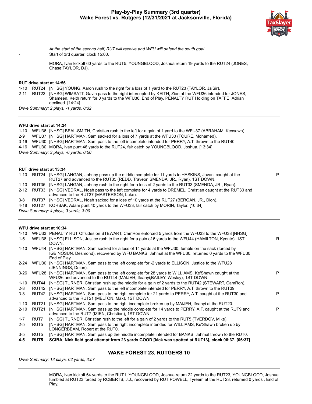

*At the start of the second half, RUT will receive and WFU will defend the south goal.* Start of 3rd quarter, clock 15:00.

MORA, Ivan kickoff 60 yards to the RUT5, YOUNGBLOOD, Joshua return 19 yards to the RUT24 (JONES, Chase;TAYLOR, DJ).

#### **RUT drive start at 14:56**

1-10 RUT24 [NHSG] YOUNG, Aaron rush to the right for a loss of 1 yard to the RUT23 (TAYLOR, Ja'Sir).

2-11 RUT23 [NHSG] WIMSATT, Gavin pass to the right intercepted by KEITH, Zion at the WFU36 intended for JONES, Shameen. Keith return for 0 yards to the WFU36, End of Play. PENALTY RUT Holding on TAFFE, Adrian declined. [14:24]

*Drive Summary: 2 plays, -1 yards, 0:32*

#### **WFU drive start at 14:24**

1-10 WFU36 [NHSG] BEAL-SMITH, Christian rush to the left for a gain of 1 yard to the WFU37 (ABRAHAM, Kessawn).

2-9 WFU37 [NHSG] HARTMAN, Sam sacked for a loss of 7 yards at the WFU30 (TOURE, Mohamed).

- 3-16 WFU30 [NHSG] HARTMAN, Sam pass to the left incomplete intended for PERRY, A.T. thrown to the RUT40.
- 4-16 WFU30 MORA, Ivan punt 46 yards to the RUT24, fair catch by YOUNGBLOOD, Joshua. [13:34]

*Drive Summary: 3 plays, -6 yards, 0:50*

#### **RUT drive start at 13:34**

|            | 1-10 RUT24 [NHSG] LANGAN, Johnny pass up the middle complete for 11 yards to HASKINS, Jovani caught at the<br>RUT27 and advanced to the RUT35 (REDD, Traveon; SMENDA, JR., Ryan), 1ST DOWN. | P |
|------------|---------------------------------------------------------------------------------------------------------------------------------------------------------------------------------------------|---|
| 1-10 RUT35 | [NHSG] LANGAN, Johnny rush to the right for a loss of 2 yards to the RUT33 (SMENDA, JR., Ryan).                                                                                             |   |
|            | 2-12 RUT33 [NHSG] VEDRAL, Noah pass to the left complete for 4 yards to DREMEL, Christian caught at the RUT30 and<br>advanced to the RUT37 (MASTERSON, Luke).                               |   |
|            | 3-8 RUT37 [NHSG] VEDRAL, Noah sacked for a loss of 10 yards at the RUT27 (BERGAN, JR., Dion).                                                                                               |   |
|            | 4-18 RUT27 KORSAK, Adam punt 40 yards to the WFU33, fair catch by MORIN, Taylor. [10:34]                                                                                                    |   |
|            | Drive Summary: 4 plays, 3 yards, 3:00                                                                                                                                                       |   |

#### **WFU drive start at 10:34**

| $1 - 10$ |             | WFU33 PENALTY RUT Offsides on STEWART, CamRon enforced 5 yards from the WFU33 to the WFU38 [NHSG].                                                                                                                |   |
|----------|-------------|-------------------------------------------------------------------------------------------------------------------------------------------------------------------------------------------------------------------|---|
| $1 - 5$  | WFU38       | [NHSG] ELLISON, Justice rush to the right for a gain of 6 yards to the WFU44 (HAMILTON, Kyonte), 1ST<br>DOWN.                                                                                                     | R |
| 1-10     | WFU44       | [NHSG] HARTMAN, Sam sacked for a loss of 14 yards at the WFU30, fumble on the sack (forced by<br>IGBINOSUN, Desmond), recovered by WFU BANKS, Jahmal at the WFU30, returned 0 yards to the WFU30,<br>End of Play. |   |
| $2 - 24$ |             | WFU30 [NHSG] HARTMAN, Sam pass to the left complete for -2 yards to ELLISON, Justice to the WFU28<br>(JENNINGS, Deion).                                                                                           |   |
| 3-26     | WFU28       | [NHSG] HARTMAN, Sam pass to the left complete for 28 yards to WILLIAMS, Ke'Shawn caught at the<br>WFU26 and advanced to the RUT44 (MAIJEH, Ifeanyi; BAILEY, Wesley), 1ST DOWN.                                    | P |
| $1 - 10$ | RUT44       | [NHSG] TURNER, Christian rush up the middle for a gain of 2 yards to the RUT42 (STEWART, CamRon).                                                                                                                 |   |
| $2 - 8$  | RUT42       | [NHSG] HARTMAN, Sam pass to the left incomplete intended for PERRY, A.T. thrown to the RUT39.                                                                                                                     |   |
| 3-8      | RUT42       | [NHSG] HARTMAN, Sam pass to the right complete for 21 yards to PERRY, A.T. caught at the RUT30 and<br>advanced to the RUT21 (MELTON, Max), 1ST DOWN.                                                              | P |
| $1 - 10$ | RUT21       | [NHSG] HARTMAN, Sam pass to the right incomplete broken up by MAIJEH, Ifeanyi at the RUT20.                                                                                                                       |   |
| $2 - 10$ | RUT21       | [NHSG] HARTMAN, Sam pass up the middle complete for 14 yards to PERRY, A.T. caught at the RUT9 and<br>advanced to the RUT7 (IZIEN, Christian), 1ST DOWN.                                                          | P |
| $1 - 7$  | RUT7        | [NHSG] TURNER, Christian rush to the left for a gain of 2 yards to the RUT5 (TVERDOV, Mike).                                                                                                                      |   |
| $2 - 5$  | RUT5        | [NHSG] HARTMAN, Sam pass to the right incomplete intended for WILLIAMS, Ke'Shawn broken up by<br>LONGERBEAM, Robert at the RUT0.                                                                                  |   |
| $3 - 5$  | RUT5        | [NHSG] HARTMAN, Sam pass up the middle incomplete intended for BANKS, Jahmal thrown to the RUT0.                                                                                                                  |   |
| $4 - 5$  | <b>RUT5</b> | SCIBA, Nick field goal attempt from 23 yards GOOD [kick was spotted at RUT13], clock 06:37. [06:37]                                                                                                               |   |

#### **WAKE FOREST 23, RUTGERS 10**

*Drive Summary: 13 plays, 62 yards, 3:57*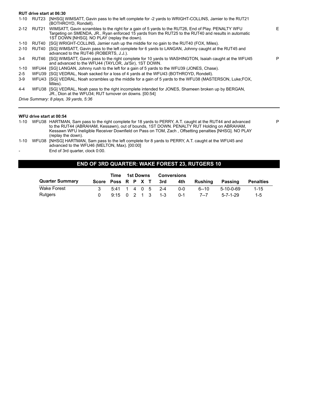#### **RUT drive start at 06:30**

|          | 1-10 RUT23 | [NHSG] WIMSATT, Gavin pass to the left complete for -2 yards to WRIGHT-COLLINS, Jamier to the RUT21<br>(BOTHROYD, Rondell).                                                                                                                                |   |
|----------|------------|------------------------------------------------------------------------------------------------------------------------------------------------------------------------------------------------------------------------------------------------------------|---|
|          | 2-12 RUT21 | WIMSATT, Gavin scrambles to the right for a gain of 5 yards to the RUT26, End of Play. PENALTY WFU<br>Targeting on SMENDA, JR., Ryan enforced 15 yards from the RUT25 to the RUT40 and results in automatic<br>1ST DOWN [NHSG]. NO PLAY (replay the down). | Е |
| 1-10     | RUT40      | [SG] WRIGHT-COLLINS, Jamier rush up the middle for no gain to the RUT40 (FOX, Miles).                                                                                                                                                                      |   |
| $2 - 10$ | RUT40      | [SG] WIMSATT, Gavin pass to the left complete for 6 yards to LANGAN, Johnny caught at the RUT45 and<br>advanced to the RUT46 (ROBERTS, J.J.).                                                                                                              |   |
| $3-4$    | RUT46      | [SG] WIMSATT, Gavin pass to the right complete for 10 yards to WASHINGTON, Isaiah caught at the WFU45<br>and advanced to the WFU44 (TAYLOR, Ja'Sir), 1ST DOWN.                                                                                             | P |
| 1-10     |            | WFU44 [SG] LANGAN, Johnny rush to the left for a gain of 5 yards to the WFU39 (JONES, Chase).                                                                                                                                                              |   |
| $2 - 5$  | WFU39      | [SG] VEDRAL, Noah sacked for a loss of 4 yards at the WFU43 (BOTHROYD, Rondell).                                                                                                                                                                           |   |
| $3-9$    |            | WFU43 [SG] VEDRAL, Noah scrambles up the middle for a gain of 5 yards to the WFU38 (MASTERSON, Luke;FOX,<br>Miles).                                                                                                                                        |   |
| $4 - 4$  |            | WFU38 [SG] VEDRAL, Noah pass to the right incomplete intended for JONES, Shameen broken up by BERGAN,<br>JR., Dion at the WFU34; RUT turnover on downs. [00:54]                                                                                            |   |
|          |            | Drive Summany & plays, 20 vards, 5:36                                                                                                                                                                                                                      |   |

*Drive Summary: 8 plays, 39 yards, 5:36*

#### **WFU drive start at 00:54**

1-10 WFU38 HARTMAN, Sam pass to the right complete for 18 yards to PERRY, A.T. caught at the RUT44 and advanced to the RUT44 (ABRAHAM, Kessawn), out of bounds, 1ST DOWN. PENALTY RUT Holding on ABRAHAM, Kessawn WFU Ineligible Receiver Downfield on Pass on TOM, Zach , Offsetting penalties [NHSG]. NO PLAY (replay the down).

1-10 WFU38 [NHSG] HARTMAN, Sam pass to the left complete for 8 yards to PERRY, A.T. caught at the WFU45 and advanced to the WFU46 (MELTON, Max). [00:00]

End of 3rd quarter, clock 0:00.

# **END OF 3RD QUARTER: WAKE FOREST 23, RUTGERS 10**

|                        |  | Time  1st Downs |  |  |  | <b>Conversions</b>   |     |                                    |           |                  |
|------------------------|--|-----------------|--|--|--|----------------------|-----|------------------------------------|-----------|------------------|
| <b>Quarter Summary</b> |  |                 |  |  |  |                      |     | Score Poss R P X T 3rd 4th Rushing | Passing   | <b>Penalties</b> |
| Wake Forest            |  |                 |  |  |  | 5:41 1 4 0 5 2-4     | ი-ი | 6--10                              | 5-10-0-69 | $1 - 15$         |
| Rutgers                |  |                 |  |  |  | $0$ 9:15 0 2 1 3 1-3 | n-1 | 7--7                               | 5-7-1-29  | $1 - 5$          |

P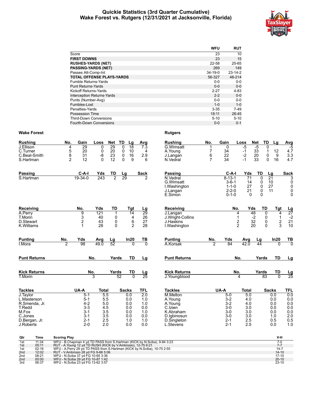#### **Quickie Statistics (3rd Quarter Cumulative) Wake Forest vs. Rutgers (12/31/2021 at Jacksonville, Florida)**



|                                   | <b>WFU</b>    | <b>RUT</b>    |
|-----------------------------------|---------------|---------------|
| Score                             | 23            | 10            |
| <b>FIRST DOWNS</b>                | 23            | 15            |
| <b>RUSHES-YARDS (NET)</b>         | 22-58         | 25-65         |
| <b>PASSING-YARDS (NET)</b>        | 269           | 149           |
| Passes Att-Comp-Int               | $34 - 19 - 0$ | $23 - 14 - 2$ |
| <b>TOTAL OFFENSE PLAYS-YARDS</b>  | 56-327        | 48-214        |
| Fumble Returns-Yards              | $0 - 0$       | $0 - 0$       |
| <b>Punt Returns-Yards</b>         | $0 - 0$       | $0 - 0$       |
| Kickoff Returns-Yards             | $2 - 27$      | $4 - 83$      |
| <b>Interception Returns-Yards</b> | $2 - 2$       | $0-0$         |
| Punts (Number-Avg)                | $0 - 0$       | $0-0$         |
| Fumbles-Lost                      | $1 - 0$       | $1 - 0$       |
| Penalties-Yards                   | $3 - 35$      | $7-49$        |
| <b>Possession Time</b>            | 18:11         | 26:45         |
| <b>Third-Down Conversions</b>     | $5 - 10$      | $5 - 10$      |
| Fourth-Down Conversions           | $0 - 0$       | $0 - 1$       |

| <b>Rushing</b>           | No.                   | Gain                | Loss                    | <b>Net</b>                   | TD           | Lg              | Avg                  | <b>Rushing</b>                | No.                   | Gain                       | Loss                          | <b>Net</b>      | TD                         | Lg             | Avg                         |
|--------------------------|-----------------------|---------------------|-------------------------|------------------------------|--------------|-----------------|----------------------|-------------------------------|-----------------------|----------------------------|-------------------------------|-----------------|----------------------------|----------------|-----------------------------|
| J.Ellison                | 4                     | 29                  | $\overline{0}$          | 29                           | $\Omega$     | 18              | 7.3                  | G.Wimsatt                     | 1                     | $\overline{0}$             | $-5$                          | $-5$            | $\Omega$                   |                | $-5$                        |
| C.Turner<br>C.Beal-Smith | $\frac{5}{8}$         | 20<br>31            | 0<br>-8                 | 20<br>23                     | 0<br>0       | 10<br>16        | 4<br>2.9             | A. Young                      | $\overline{7}$<br>6   | 34<br>22                   | $-1$<br>$-2$                  | 33<br>20        | $\mathbf 1$<br>$\mathbf 0$ | 12<br>9        | 4.7<br>3.3                  |
| S.Hartman                | $\overline{2}$        | 12                  | $\Omega$                | 12                           | $\Omega$     | 9               | 6                    | J.Langan<br>N.Vedral          | $\overline{7}$        | 34                         | $-1$                          | 33              | $\mathbf{0}$               | 16             | 4.7                         |
|                          |                       |                     |                         |                              |              |                 |                      |                               |                       |                            |                               |                 |                            |                |                             |
| <b>Passing</b>           |                       | $C-A-I$             | Yds                     | TD                           | Lg           |                 | <b>Sack</b>          | Passing                       |                       | $C-A-I$                    | Yds                           | TD              |                            | Lg             | <b>Sack</b>                 |
| S.Hartman                |                       | $19 - 34 - 0$       | 243                     | $\overline{2}$               | 29           |                 | 2                    | N.Vedral                      |                       | $8 - 13 - 1$               |                               | $\overline{71}$ | $\overline{0}$             | 21             | 3                           |
|                          |                       |                     |                         |                              |              |                 |                      | G.Wimsatt                     |                       | $3 - 6 - 1$<br>$1 - 1 - 0$ |                               | 14<br>27        | $\mathbf{0}$<br>0          | 10<br>27       | 0<br>0                      |
|                          |                       |                     |                         |                              |              |                 |                      | I. Washington<br>J.Langan     |                       | $2 - 2 - 0$                |                               | 21              | 0                          | 11             | 0                           |
|                          |                       |                     |                         |                              |              |                 |                      | E.Simon                       |                       | $0 - 1 - 0$                |                               | $\Omega$        | $\Omega$                   |                | 0                           |
|                          |                       |                     |                         |                              |              |                 |                      |                               |                       |                            |                               |                 |                            |                |                             |
| Receiving                |                       | No.                 | Yds                     | <b>TD</b>                    |              | Tgt             | <u>Lg</u>            | Receiving                     |                       |                            | No.                           | Yds             | TD                         | Tgt            |                             |
| A.Perry                  |                       | 9                   | 121                     | 1                            |              | $\overline{14}$ | 29                   | J.Langan                      |                       |                            | 4                             | 48              | $\overline{0}$             | $\overline{4}$ | $\frac{\text{Lg}}{27}$ -2   |
| T.Morin<br>D.Stewart     |                       | 3<br>$\overline{c}$ | 40<br>43                | 0<br>0                       |              | 4               | 26<br>27             | J.Wright-Collins<br>J.Haskins |                       |                            | $\mathbf 1$<br>$\overline{c}$ | $-2$<br>32      | 0<br>0                     | $\mathbf{1}$   | 21                          |
| K. Williams              |                       | 1                   | 28                      | $\Omega$                     |              | $\frac{6}{2}$   | 28                   | I. Washington                 |                       |                            | $\mathfrak{p}$                | 20              | $\Omega$                   | $\frac{2}{3}$  | 10                          |
|                          |                       |                     |                         |                              |              |                 |                      |                               |                       |                            |                               |                 |                            |                |                             |
| <b>Punting</b>           |                       |                     |                         |                              |              | In20            |                      | <b>Punting</b>                |                       |                            |                               |                 |                            | In20           |                             |
|                          |                       |                     |                         |                              |              |                 |                      |                               |                       |                            |                               |                 |                            |                |                             |
| I.Mora                   | No.<br>$\overline{2}$ | Yds<br>98           | Avg<br>$\frac{1}{49.0}$ | <u>Lg</u><br>$\overline{52}$ |              | $\Omega$        | TB<br>$\overline{0}$ | A.Korsak                      | No.<br>$\overline{2}$ | Yds<br>84                  | Avg<br>42.0                   | Lg<br>44        |                            | $\Omega$       | <u>TB</u><br>$\overline{0}$ |
|                          |                       |                     |                         |                              |              |                 |                      |                               |                       |                            |                               |                 |                            |                |                             |
| <b>Punt Returns</b>      |                       |                     | No.                     | Yards                        |              | <b>TD</b>       | Lg                   | <b>Punt Returns</b>           |                       |                            | No.                           |                 | Yards                      | <b>TD</b>      |                             |
|                          |                       |                     |                         |                              |              |                 |                      |                               |                       |                            |                               |                 |                            |                | Lg                          |
| <b>Kick Returns</b>      |                       |                     | No.                     | Yards                        |              | TD              |                      | <b>Kick Returns</b>           |                       |                            | No.                           |                 | Yards                      | TD             |                             |
| T.Morin                  |                       |                     | $\overline{3}$          |                              | 52           | $\overline{0}$  | $\frac{Lg}{25}$      | J.Youngblood                  |                       |                            | 4                             |                 | 83                         | $\overline{0}$ | $\frac{\text{Lg}}{25}$      |
|                          |                       |                     |                         |                              |              |                 |                      |                               |                       |                            |                               |                 |                            |                |                             |
| <b>Tackles</b>           |                       | UA-A                | <b>Total</b>            |                              | <b>Sacks</b> |                 | <b>TFL</b>           | <b>Tackles</b>                |                       | UA-A                       | <b>Total</b>                  |                 |                            | <b>Sacks</b>   | TFL                         |
| J.Taylor                 |                       | $5 - 1$             | 5.5                     |                              |              | 0.0             | $\overline{2.0}$     | M.Melton                      |                       | $5-0$                      | 5.0                           |                 |                            | 0.0            | 0.0                         |
| L.Masterson              |                       | $5 - 1$             | 5.5                     |                              |              | 0.0             | 1.0                  | A. Young                      |                       | $3 - 2$                    | 4.0                           |                 |                            | 0.0            | 0.0                         |
| R.Smenda, Jr.            |                       | $4 - 2$             | 5.0                     |                              |              | 0.0             | 1.0                  | A. Young                      |                       | $3-2$                      | 4.0                           |                 |                            | 0.0            | 0.0                         |
| T.Redd                   |                       | $3 - 3$             | 4.5                     |                              |              | 0.0             | 0.0                  | C.Izien                       |                       | $3-0$                      | 3.0                           |                 |                            | 0.0            | 0.0                         |
| M.Fox<br>C.Jones         |                       | $3 - 1$<br>$3 - 1$  | 3.5<br>3.5              |                              |              | 0.0<br>0.0      | 1.0<br>0.0           | K.Abraham<br>D.Iqbinosun      |                       | $3-0$<br>$3-0$             | 3.0<br>3.0                    |                 |                            | 0.0<br>1.0     | 0.0                         |
| D.Bergan, Jr.            |                       | $2 - 1$             | 2.5                     |                              |              | 1.0             | 1.0                  | D.Singleton                   |                       | $2 - 1$                    | 2.5                           |                 |                            | 0.5            | 2.0<br>0.5                  |
| J.Roberts                |                       | $2 - 0$             | 2.0                     |                              |              | 0.0             | 0.0                  | L.Stevens                     |                       | $2 - 1$                    | 2.5                           |                 |                            | 0.0            | 1.0                         |

| Qtr | Time  | <b>Scoring Play</b>                                                      | V-H       |
|-----|-------|--------------------------------------------------------------------------|-----------|
| 1st | 11:34 | WFU - B.Chapman 4 yd TD PASS from S.Hartman (KICK by N.Sciba), 9-84 3:23 |           |
| 1st | 05:11 | RUT - A. Young 12 yd TD RUSH (KICK by V. Ambrosio), 12-75 6:21           |           |
| 1st | 02:16 | WFU - A.Perry 29 yd TD PASS from S.Hartman (KICK by N.Sciba), 10-75 2:55 | $14 - 7$  |
| 2nd | 12:02 | RUT - V.Ambrosio 28 vd FG 9-66 5:06                                      | $14 - 10$ |
| 2nd | 08:21 | WFU - N.Sciba 37 vd FG 10-65 3:36                                        | $17-10$   |
| 2nd | 00:00 | WFU - N.Sciba 29 yd FG 10-87 1:42                                        | $20 - 10$ |
| 3rd | 06:37 | WFU - N.Sciba 23 yd FG 13-62 3:57                                        | $23-10$   |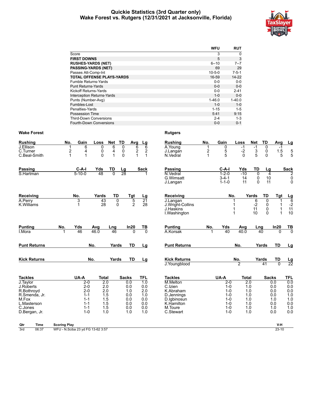#### **Quickie Statistics (3rd Quarter only) Wake Forest vs. Rutgers (12/31/2021 at Jacksonville, Florida)**



|                                  | <b>WFU</b>   | <b>RUT</b>  |
|----------------------------------|--------------|-------------|
| Score                            | 3            | $\Omega$    |
| <b>FIRST DOWNS</b>               | 5            | 3           |
| <b>RUSHES-YARDS (NET)</b>        | $6 - 10$     | 7--7        |
| <b>PASSING-YARDS (NET)</b>       | 69           | 29          |
| Passes Att-Comp-Int              | $10 - 5 - 0$ | $7 - 5 - 1$ |
| <b>TOTAL OFFENSE PLAYS-YARDS</b> | 16-59        | $14 - 22$   |
| <b>Fumble Returns-Yards</b>      | $0 - 0$      | $0-0$       |
| <b>Punt Returns-Yards</b>        | $0 - 0$      | $0 - 0$     |
| Kickoff Returns-Yards            | $0 - 0$      | $2 - 41$    |
| Interception Returns-Yards       | $1 - 0$      | $0 - 0$     |
| Punts (Number-Avg)               | $1 - 46.0$   | $1 - 40.0$  |
| Fumbles-Lost                     | $1 - 0$      | $1 - 0$     |
| Penalties-Yards                  | $1 - 15$     | $1 - 5$     |
| Possession Time                  | 5:41         | 9:15        |
| <b>Third-Down Conversions</b>    | $2 - 4$      | $1 - 3$     |
| Fourth-Down Conversions          | $0 - 0$      | $0 - 1$     |

| <b>Rushing</b>                                                                                            | No.                                                      | Gain                                                                                 | Loss                         | <b>Net</b>                                           | TD                                                   | Avg                               | Lg                                                                | <b>Rushing</b>                                                                                      | No.                          | Gain                                                                                 | Loss                                                              | <b>Net</b>            | <b>TD</b>                                 | Avg                                                  | <u>Lg</u>                                              |
|-----------------------------------------------------------------------------------------------------------|----------------------------------------------------------|--------------------------------------------------------------------------------------|------------------------------|------------------------------------------------------|------------------------------------------------------|-----------------------------------|-------------------------------------------------------------------|-----------------------------------------------------------------------------------------------------|------------------------------|--------------------------------------------------------------------------------------|-------------------------------------------------------------------|-----------------------|-------------------------------------------|------------------------------------------------------|--------------------------------------------------------|
| J.Ellison<br>C.Turner<br>C.Beal-Smith                                                                     | 1<br>2<br>1                                              | 6<br>4<br>1                                                                          | $\mathbf 0$<br>0<br>$\Omega$ | 6<br>4<br>1                                          | $\overline{0}$<br>0<br>$\Omega$                      | 6<br>$\overline{\mathbf{c}}$<br>1 | 6<br>$\overline{\mathbf{c}}$<br>$\mathbf{1}$                      | A. Young<br>J.Langan<br>N.Vedral                                                                    | $\overline{\mathbf{c}}$<br>1 | 0<br>5<br>5                                                                          | $-1$<br>$-2$<br>$\mathbf{0}$                                      | $-1$<br>$\frac{3}{5}$ | $\Omega$<br>0<br>$\Omega$                 | -1<br>$\begin{array}{c} 1.5 \\ 5 \end{array}$        | 5<br>5                                                 |
| <b>Passing</b><br>S.Hartman                                                                               |                                                          | $C-A-I$<br>$5 - 10 - 0$                                                              | Yds<br>48                    | TD                                                   | Lg<br>28                                             |                                   | Sack                                                              | Passing<br>N.Vedral                                                                                 |                              | $C-A-I$<br>$1 - 2 - 0$                                                               | Yds<br>$-10$                                                      | TD<br>0               | Lg<br>$\overline{4}$                      |                                                      | <b>Sack</b><br>2                                       |
|                                                                                                           |                                                          |                                                                                      |                              |                                                      |                                                      |                                   |                                                                   | G.Wimsatt<br>J.Langan                                                                               |                              | $3 - 4 - 1$<br>$1 - 1 - 0$                                                           | 14<br>11                                                          | 0<br>$\Omega$         | 10<br>11                                  |                                                      | 0<br>0                                                 |
| Receiving                                                                                                 |                                                          | No.                                                                                  | Yards                        | TD                                                   |                                                      | Tgt                               | $\frac{\text{Lg}}{21}$                                            | Receiving                                                                                           |                              | No.                                                                                  |                                                                   | Yards                 | TD                                        | Tgt                                                  | $\frac{Lg}{6}$                                         |
| A.Perry<br>K. Williams                                                                                    |                                                          | 3<br>1                                                                               | 43<br>28                     | 0<br>$\Omega$                                        |                                                      | 5<br>$\overline{2}$               | 28                                                                | J.Langan<br>J.Wright-Collins<br>J.Haskins<br>I. Washington                                          |                              |                                                                                      | 1<br>1<br>1<br>1                                                  | 6<br>$-2$<br>11<br>10 | 0<br>0<br>$\ddot{\mathbf{0}}$<br>$\Omega$ | 1<br>1<br>1                                          | $-2$<br>11<br>10                                       |
| <b>Punting</b>                                                                                            | No.                                                      | Yds                                                                                  | Avg                          | Lng                                                  |                                                      | In20                              | <u>ТВ</u>                                                         | <b>Punting</b>                                                                                      | No.                          | Yds                                                                                  | Avg                                                               | Lng                   |                                           | In20                                                 |                                                        |
| I.Mora                                                                                                    |                                                          | 46                                                                                   | 46.0                         | 46                                                   |                                                      | $\Omega$                          | $\overline{0}$                                                    | A.Korsak                                                                                            | 1                            | 40                                                                                   | 40.0                                                              |                       | 40                                        | $\Omega$                                             | $rac{TB}{0}$                                           |
| <b>Punt Returns</b>                                                                                       |                                                          |                                                                                      | No.                          | Yards                                                |                                                      | <b>TD</b>                         | Lg                                                                | <b>Punt Returns</b>                                                                                 |                              |                                                                                      | No.                                                               |                       | Yards                                     | <b>TD</b>                                            | <u>Lg</u>                                              |
| <b>Kick Returns</b>                                                                                       |                                                          |                                                                                      | No.                          | Yards                                                |                                                      | <b>TD</b>                         | Lg                                                                | <b>Kick Returns</b><br>J.Youngblood                                                                 |                              |                                                                                      | No.<br>$\overline{2}$                                             |                       | Yards<br>41                               | TD<br>$\Omega$                                       | $\frac{Lg}{22}$                                        |
| <b>Tackles</b>                                                                                            |                                                          | UA-A                                                                                 | <b>Total</b>                 |                                                      | <b>Sacks</b>                                         |                                   | <b>TFL</b>                                                        | <b>Tackles</b>                                                                                      |                              | UA-A                                                                                 | <b>Total</b>                                                      |                       | <b>Sacks</b>                              |                                                      | <b>TFL</b>                                             |
| J. Taylor<br>J.Roberts<br>R.Bothroyd<br>R.Smenda, Jr.<br>M.Fox<br>L.Masterson<br>C.Jones<br>D.Bergan, Jr. |                                                          | $2 - 0$<br>$2 - 0$<br>$2 - 0$<br>$1 - 1$<br>$1 - 1$<br>$1 - 1$<br>$1 - 1$<br>$1 - 0$ |                              | 2.0<br>2.0<br>2.0<br>1.5<br>1.5<br>1.5<br>1.5<br>1.0 | 0.0<br>0.0<br>1.0<br>0.0<br>0.0<br>0.0<br>0.0<br>1.0 |                                   | $\overline{1.0}$<br>0.0<br>2.0<br>1.0<br>0.0<br>0.0<br>0.0<br>1.0 | M.Melton<br>C.Izien<br>K.Abraham<br>D.Jennings<br>D.lgbinosun<br>K.Hamilton<br>M.Toure<br>C.Stewart |                              | $2 - 0$<br>$1 - 0$<br>$1 - 0$<br>$1 - 0$<br>$1 - 0$<br>$1 - 0$<br>$1 - 0$<br>$1 - 0$ | $\overline{2.0}$<br>1.0<br>1.0<br>1.0<br>1.0<br>1.0<br>1.0<br>1.0 |                       |                                           | 0.0<br>0.0<br>0.0<br>0.0<br>1.0<br>0.0<br>1.0<br>0.0 | 0.0<br>0.0<br>$0.0$<br>1.0<br>1.0<br>0.0<br>1.0<br>0.0 |
| Qtr<br><b>Time</b><br>3rd<br>06:37                                                                        | <b>Scoring Play</b><br>WFU - N.Sciba 23 yd FG 13-62 3:57 |                                                                                      |                              |                                                      |                                                      |                                   |                                                                   |                                                                                                     |                              |                                                                                      |                                                                   |                       |                                           | V-H<br>$23 - 10$                                     |                                                        |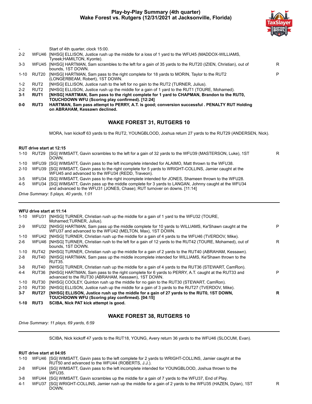## **Play-by-Play Summary (4th quarter) Wake Forest vs. Rutgers (12/31/2021 at Jacksonville, Florida)**



| -     |                  | Start of 4th quarter, clock 15:00.                                                                                                            |   |
|-------|------------------|-----------------------------------------------------------------------------------------------------------------------------------------------|---|
| $2-2$ | WFU46            | [NHSG] ELLISON, Justice rush up the middle for a loss of 1 yard to the WFU45 (MADDOX-WILLIAMS,<br>Tyreek: HAMILTON, Kyonte).                  |   |
| 3-3   | WFU45            | [NHSG] HARTMAN, Sam scrambles to the left for a gain of 35 yards to the RUT20 (IZIEN, Christian), out of<br>bounds, 1ST DOWN.                 | R |
| 1-10  | RUT20            | [NHSG] HARTMAN, Sam pass to the right complete for 18 yards to MORIN, Taylor to the RUT2<br>(LONGERBEAM, Robert), 1ST DOWN.                   | P |
| 1-2   | RUT <sub>2</sub> | [NHSG] ELLISON, Justice rush to the left for no gain to the RUT2 (TURNER, Julius).                                                            |   |
| 2-2   | RUT <sub>2</sub> | [NHSG] ELLISON, Justice rush up the middle for a gain of 1 yard to the RUT1 (TOURE, Mohamed).                                                 |   |
| 3-1   | RUT <sub>1</sub> | [NHSG] HARTMAN, Sam pass to the right complete for 1 yard to CHAPMAN, Brandon to the RUT0,<br>TOUCHDOWN WFU (Scoring play confirmed). [12:24] |   |
| 0-0   | <b>RUT3</b>      | HARTMAN, Sam pass attempt to PERRY, A.T. is good; conversion successful . PENALTY RUT Holding<br>on ABRAHAM, Kessawn declined.                |   |
|       |                  | <b>WAKE FOREST 31, RUTGERS 10</b>                                                                                                             |   |
|       |                  | MORA, Ivan kickoff 63 yards to the RUT2, YOUNGBLOOD, Joshua return 27 yards to the RUT29 (ANDERSEN, Nick).                                    |   |

**RUT drive start at 12:15**

|       | 1-10 RUT29 | [SG] WIMSATT, Gavin scrambles to the left for a gain of 32 yards to the WFU39 (MASTERSON, Luke), 1ST<br>DOWN.                                                | R. |
|-------|------------|--------------------------------------------------------------------------------------------------------------------------------------------------------------|----|
| 1-10  |            | WFU39 [SG] WIMSATT, Gavin pass to the left incomplete intended for ALAIMO, Matt thrown to the WFU38.                                                         |    |
| 2-10  |            | WFU39 [SG] WIMSATT, Gavin pass to the right complete for 5 yards to WRIGHT-COLLINS, Jamier caught at the<br>WFU45 and advanced to the WFU34 (REDD, Traveon). |    |
| $3-5$ |            | WFU34 [SG] WIMSATT, Gavin pass to the right incomplete intended for JONES, Shameen thrown to the WFU28.                                                      |    |

4-5 WFU34 [SG] WIMSATT, Gavin pass up the middle complete for 3 yards to LANGAN, Johnny caught at the WFU34 and advanced to the WFU31 (JONES, Chase); RUT turnover on downs. [11:14]

*Drive Summary: 5 plays, 40 yards, 1:01*

#### **WFU drive start at 11:14**

| 1-10     | WFU31 | [NHSG] TURNER, Christian rush up the middle for a gain of 1 yard to the WFU32 (TOURE,<br>Mohamed:TURNER, Julius).                                                  |   |
|----------|-------|--------------------------------------------------------------------------------------------------------------------------------------------------------------------|---|
| $2-9$    |       | WFU32 [NHSG] HARTMAN, Sam pass up the middle complete for 10 yards to WILLIAMS, Ke'Shawn caught at the<br>WFU37 and advanced to the WFU42 (MELTON, Max), 1ST DOWN. | P |
| 1-10     |       | WFU42 [NHSG] TURNER, Christian rush up the middle for a gain of 4 yards to the WFU46 (TVERDOV, Mike).                                                              |   |
| $2-6$    |       | WFU46 [NHSG] TURNER, Christian rush to the left for a gain of 12 yards to the RUT42 (TOURE, Mohamed), out of<br>bounds. 1ST DOWN.                                  | R |
| $1 - 10$ |       | RUT42 [NHSG] TURNER, Christian rush up the middle for a gain of 2 yards to the RUT40 (ABRAHAM, Kessawn).                                                           |   |
| $2 - 8$  | RUT40 | [NHSG] HARTMAN, Sam pass up the middle incomplete intended for WILLIAMS, Ke'Shawn thrown to the<br>RUT35.                                                          |   |
| $3 - 8$  | RUT40 | [NHSG] TURNER, Christian rush up the middle for a gain of 4 yards to the RUT36 (STEWART, CamRon).                                                                  |   |
| 4-4      | RUT36 | [NHSG] HARTMAN, Sam pass to the right complete for 6 yards to PERRY, A.T. caught at the RUT33 and<br>advanced to the RUT30 (ABRAHAM, Kessawn), 1ST DOWN.           | P |
| $1 - 10$ | RUT30 | [NHSG] COOLEY, Quinton rush up the middle for no gain to the RUT30 (STEWART, CamRon).                                                                              |   |
| $2 - 10$ | RUT30 | [NHSG] ELLISON, Justice rush up the middle for a gain of 3 yards to the RUT27 (TVERDOV, Mike).                                                                     |   |
| $3 - 7$  | RUT27 | [NHSG] ELLISON, Justice rush up the middle for a gain of 27 yards to the RUT0, 1ST DOWN,<br>TOUCHDOWN WFU (Scoring play confirmed). [04:15]                        | R |
|          |       |                                                                                                                                                                    |   |

**1-10 RUT3 SCIBA, Nick PAT kick attempt is good.**

#### **WAKE FOREST 38, RUTGERS 10**

*Drive Summary: 11 plays, 69 yards, 6:59*

SCIBA, Nick kickoff 47 yards to the RUT18, YOUNG, Avery return 36 yards to the WFU46 (SLOCUM, Evan).

#### **RUT drive start at 04:05**

- 1-10 WFU46 [SG] WIMSATT, Gavin pass to the left complete for 2 yards to WRIGHT-COLLINS, Jamier caught at the RUT50 and advanced to the WFU44 (ROBERTS, J.J.).
- 2-8 WFU44 [SG] WIMSATT, Gavin pass to the left incomplete intended for YOUNGBLOOD, Joshua thrown to the WFU35.
- 3-8 WFU44 [SG] WIMSATT, Gavin scrambles up the middle for a gain of 7 yards to the WFU37, End of Play.
- 4-1 WFU37 [SG] WRIGHT-COLLINS, Jamier rush up the middle for a gain of 2 yards to the WFU35 (HAZEN, Dylan), 1ST DOWN.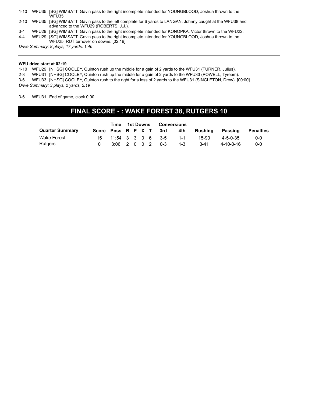1-10 WFU35 [SG] WIMSATT, Gavin pass to the right incomplete intended for YOUNGBLOOD, Joshua thrown to the WFU35.

2-10 WFU35 [SG] WIMSATT, Gavin pass to the left complete for 6 yards to LANGAN, Johnny caught at the WFU38 and advanced to the WFU29 (ROBERTS, J.J.).

3-4 WFU29 [SG] WIMSATT, Gavin pass to the right incomplete intended for KONOPKA, Victor thrown to the WFU22. 4-4 WFU29 [SG] WIMSATT, Gavin pass to the right incomplete intended for YOUNGBLOOD, Joshua thrown to the WFU25; RUT turnover on downs. [02:19]

*Drive Summary: 8 plays, 17 yards, 1:46*

#### **WFU drive start at 02:19**

1-10 WFU29 [NHSG] COOLEY, Quinton rush up the middle for a gain of 2 yards to the WFU31 (TURNER, Julius). 2-8 WFU31 [NHSG] COOLEY, Quinton rush up the middle for a gain of 2 yards to the WFU33 (POWELL, Tyreem). 3-6 WFU33 [NHSG] COOLEY, Quinton rush to the right for a loss of 2 yards to the WFU31 (SINGLETON, Drew). [00:00] *Drive Summary: 3 plays, 2 yards, 2:19*

3-6 WFU31 End of game, clock 0:00.

# **FINAL SCORE - : WAKE FOREST 38, RUTGERS 10**

|                        | Time                | 1st Downs |  | <b>Conversions</b> |                        |         |          |           |                  |
|------------------------|---------------------|-----------|--|--------------------|------------------------|---------|----------|-----------|------------------|
| <b>Quarter Summary</b> |                     |           |  |                    | Score Poss R P X T 3rd | 4th     | Rushina  | Passing   | <b>Penalties</b> |
| Wake Forest            | $11:54$ 3 3 0 6 3-5 |           |  |                    |                        | $1 - 1$ | 15-90    | 4-5-0-35  | $0 - 0$          |
| Rutgers                | 3:06 2 0 0 2 0-3    |           |  |                    |                        | $1 - 3$ | $3 - 41$ | 4-10-0-16 | $0 - 0$          |